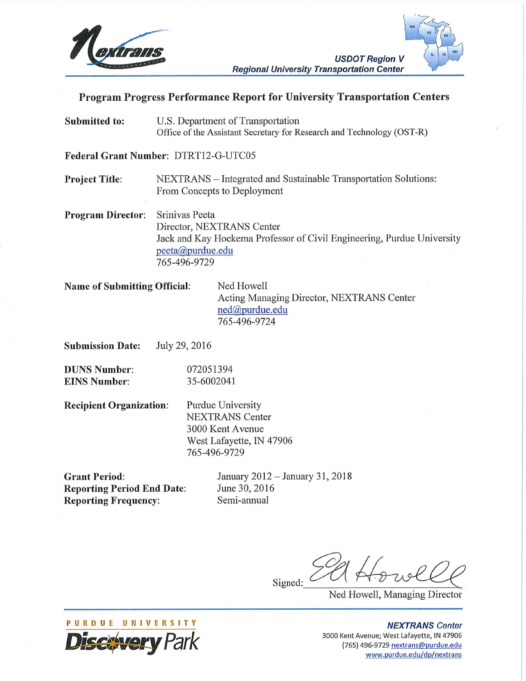



## Program Progress Performance Report for University Transportation Centers

**Submitted to:** U.S. Department of Transportation Office of the Assistant Secretary for Research and Technology (OST-R)

Federal Grant Number: DTRT12-G-UTC05

NEXTRANS - Integrated and Sustainable Transportation Solutions: **Project Title:** From Concepts to Deployment

Srinivas Peeta **Program Director:** Director, NEXTRANS Center Jack and Kay Hockema Professor of Civil Engineering, Purdue University peeta@purdue.edu 765-496-9729

**Name of Submitting Official:** Ned Howell Acting Managing Director, NEXTRANS Center ned@purdue.edu 765-496-9724

**Submission Date:** July 29, 2016

**DUNS Number:** 072051394 **EINS Number:** 35-6002041

**Recipient Organization:** 

Purdue University **NEXTRANS** Center 3000 Kent Avenue West Lafayette, IN 47906 765-496-9729

**Grant Period: Reporting Period End Date: Reporting Frequency:** 

January 2012 - January 31, 2018 June 30, 2016 Semi-annual

Signed:

Ned Howell, Managing Director



**NEXTRANS Center** 3000 Kent Avenue; West Lafayette, IN 47906 (765) 496-9729 nextrans@purdue.edu www.purdue.edu/dp/nextrans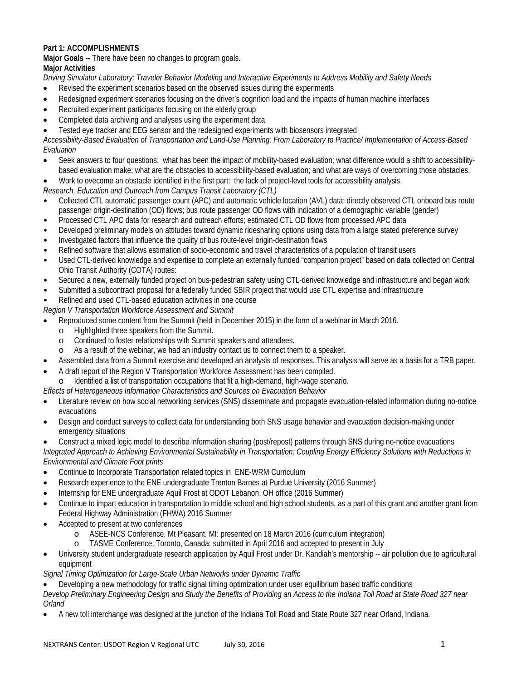# **Part 1: ACCOMPLISHMENTS**

**Major Goals --** There have been no changes to program goals.

## **Major Activities**

*Driving Simulator Laboratory: Traveler Behavior Modeling and Interactive Experiments to Address Mobility and Safety Needs*

- Revised the experiment scenarios based on the observed issues during the experiments
- Redesigned experiment scenarios focusing on the driver's cognition load and the impacts of human machine interfaces
- Recruited experiment participants focusing on the elderly group
- Completed data archiving and analyses using the experiment data
- Tested eye tracker and EEG sensor and the redesigned experiments with biosensors integrated

*Accessibility-Based Evaluation of Transportation and Land-Use Planning: From Laboratory to Practice/ Implementation of Access-Based Evaluation*

• Seek answers to four questions: what has been the impact of mobility-based evaluation; what difference would a shift to accessibilitybased evaluation make; what are the obstacles to accessibility-based evaluation; and what are ways of overcoming those obstacles.

• Work to ovecome an obstacle identified in the first part: the lack of project-level tools for accessibility analysis.

*Research, Education and Outreach from Campus Transit Laboratory (CTL)*

- Collected CTL automatic passenger count (APC) and automatic vehicle location (AVL) data; directly observed CTL onboard bus route passenger origin-destination (OD) flows; bus route passenger OD flows with indication of a demographic variable (gender)
- Processed CTL APC data for research and outreach efforts; estimated CTL OD flows from processed APC data
- Developed preliminary models on attitudes toward dynamic ridesharing options using data from a large stated preference survey
- Investigated factors that influence the quality of bus route-level origin-destination flows
- Refined software that allows estimation of socio-economic and travel characteristics of a population of transit users
- Used CTL-derived knowledge and expertise to complete an externally funded "companion project" based on data collected on Central Ohio Transit Authority (COTA) routes:
- Secured a new, externally funded project on bus-pedestrian safety using CTL-derived knowledge and infrastructure and began work
- Submitted a subcontract proposal for a federally funded SBIR project that would use CTL expertise and infrastructure

• Refined and used CTL-based education activities in one course

*Region V Transportation Workforce Assessment and Summit*

- Reproduced some content from the Summit (held in December 2015) in the form of a webinar in March 2016.
	- o Highlighted three speakers from the Summit.<br>Continued to foster relationships with Summit
	- Continued to foster relationships with Summit speakers and attendees.
	- o As a result of the webinar, we had an industry contact us to connect them to a speaker.
- Assembled data from a Summit exercise and developed an analysis of responses. This analysis will serve as a basis for a TRB paper.
- A draft report of the Region V Transportation Workforce Assessment has been compiled.
- o Identified a list of transportation occupations that fit a high-demand, high-wage scenario.

*Effects of Heterogeneous Information Characteristics and Sources on Evacuation Behavior*

- Literature review on how social networking services (SNS) disseminate and propagate evacuation-related information during no-notice evacuations
- Design and conduct surveys to collect data for understanding both SNS usage behavior and evacuation decision-making under emergency situations
- Construct a mixed logic model to describe information sharing (post/repost) patterns through SNS during no-notice evacuations *Integrated Approach to Achieving Environmental Sustainability in Transportation: Coupling Energy Efficiency Solutions with Reductions in Environmental and Climate Foot prints*
- Continue to Incorporate Transportation related topics in ENE-WRM Curriculum
- Research experience to the ENE undergraduate Trenton Barnes at Purdue University (2016 Summer)
- Internship for ENE undergraduate Aquil Frost at ODOT Lebanon, OH office (2016 Summer)
- Continue to impart education in transportation to middle school and high school students, as a part of this grant and another grant from Federal Highway Administration (FHWA) 2016 Summer
- Accepted to present at two conferences
	- o ASEE-NCS Conference, Mt Pleasant, MI: presented on 18 March 2016 (curriculum integration)
		- TASME Conference, Toronto, Canada: submitted in April 2016 and accepted to present in July
- University student undergraduate research application by Aquil Frost under Dr. Kandiah's mentorship -- air pollution due to agricultural equipment

*Signal Timing Optimization for Large-Scale Urban Networks under Dynamic Traffic*

• Developing a new methodology for traffic signal timing optimization under user equilibrium based traffic conditions

*Develop Preliminary Engineering Design and Study the Benefits of Providing an Access to the Indiana Toll Road at State Road 327 near Orland*

• A new toll interchange was designed at the junction of the Indiana Toll Road and State Route 327 near Orland, Indiana.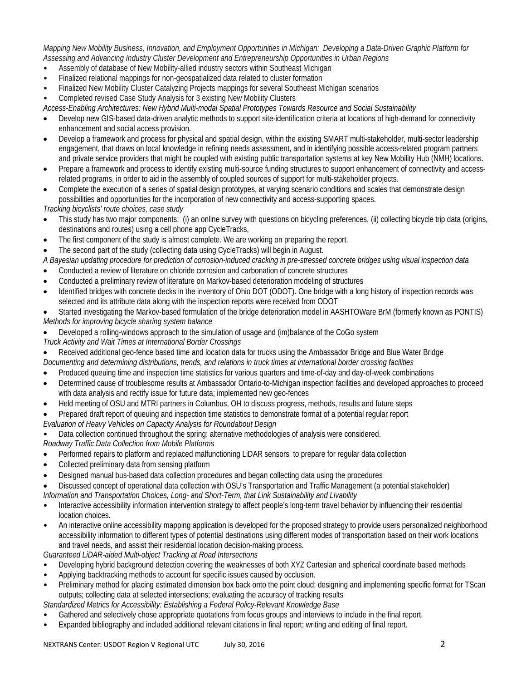*Mapping New Mobility Business, Innovation, and Employment Opportunities in Michigan: Developing a Data-Driven Graphic Platform for Assessing and Advancing Industry Cluster Development and Entrepreneurship Opportunities in Urban Regions*

- Assembly of database of New Mobility-allied industry sectors within Southeast Michigan
- Finalized relational mappings for non-geospatialized data related to cluster formation
- Finalized New Mobility Cluster Catalyzing Projects mappings for several Southeast Michigan scenarios
- Completed revised Case Study Analysis for 3 existing New Mobility Clusters

*Access-Enabling Architectures: New Hybrid Multi-modal Spatial Prototypes Towards Resource and Social Sustainability* 

- Develop new GIS-based data-driven analytic methods to support site-identification criteria at locations of high-demand for connectivity enhancement and social access provision.
- Develop a framework and process for physical and spatial design, within the existing SMART multi-stakeholder, multi-sector leadership engagement, that draws on local knowledge in refining needs assessment, and in identifying possible access-related program partners and private service providers that might be coupled with existing public transportation systems at key New Mobility Hub (NMH) locations.
- Prepare a framework and process to identify existing multi-source funding structures to support enhancement of connectivity and accessrelated programs, in order to aid in the assembly of coupled sources of support for multi-stakeholder projects.
- Complete the execution of a series of spatial design prototypes, at varying scenario conditions and scales that demonstrate design possibilities and opportunities for the incorporation of new connectivity and access-supporting spaces.

*Tracking bicyclists' route choices, case study* 

- This study has two major components: (i) an online survey with questions on bicycling preferences, (ii) collecting bicycle trip data (origins, destinations and routes) using a cell phone app CycleTracks,
- The first component of the study is almost complete. We are working on preparing the report.
- The second part of the study (collecting data using CycleTracks) will begin in August.

## *A Bayesian updating procedure for prediction of corrosion-induced cracking in pre-stressed concrete bridges using visual inspection data*

- Conducted a review of literature on chloride corrosion and carbonation of concrete structures
- Conducted a preliminary review of literature on Markov-based deterioration modeling of structures
- Identified bridges with concrete decks in the inventory of Ohio DOT (ODOT). One bridge with a long history of inspection records was selected and its attribute data along with the inspection reports were received from ODOT
- Started investigating the Markov-based formulation of the bridge deterioration model in AASHTOWare BrM (formerly known as PONTIS) *Methods for improving bicycle sharing system balance*
- Developed a rolling-windows approach to the simulation of usage and (im)balance of the CoGo system

*Truck Activity and Wait Times at International Border Crossings*

• Received additional geo-fence based time and location data for trucks using the Ambassador Bridge and Blue Water Bridge *Documenting and determining distributions, trends, and relations in truck times at international border crossing facilities*

- Produced queuing time and inspection time statistics for various quarters and time-of-day and day-of-week combinations
- Determined cause of troublesome results at Ambassador Ontario-to-Michigan inspection facilities and developed approaches to proceed with data analysis and rectify issue for future data; implemented new geo-fences
- Held meeting of OSU and MTRI partners in Columbus, OH to discuss progress, methods, results and future steps
- Prepared draft report of queuing and inspection time statistics to demonstrate format of a potential regular report

*Evaluation of Heavy Vehicles on Capacity Analysis for Roundabout Design*

• Data collection continued throughout the spring; alternative methodologies of analysis were considered.

*Roadway Traffic Data Collection from Mobile Platforms*

- Performed repairs to platform and replaced malfunctioning LiDAR sensors to prepare for regular data collection
- Collected preliminary data from sensing platform
- Designed manual bus-based data collection procedures and began collecting data using the procedures
- Discussed concept of operational data collection with OSU's Transportation and Traffic Management (a potential stakeholder) *Information and Transportation Choices, Long- and Short-Term, that Link Sustainability and Livability*
- Interactive accessibility information intervention strategy to affect people's long-term travel behavior by influencing their residential location choices.
- An interactive online accessibility mapping application is developed for the proposed strategy to provide users personalized neighborhood accessibility information to different types of potential destinations using different modes of transportation based on their work locations and travel needs, and assist their residential location decision-making process.

*Guaranteed LiDAR-aided Multi-object Tracking at Road Intersections*

- Developing hybrid background detection covering the weaknesses of both XYZ Cartesian and spherical coordinate based methods
- Applying backtracking methods to account for specific issues caused by occlusion.
- Preliminary method for placing estimated dimension box back onto the point cloud; designing and implementing specific format for TScan outputs; collecting data at selected intersections; evaluating the accuracy of tracking results

*Standardized Metrics for Accessibility: Establishing a Federal Policy-Relevant Knowledge Base*

- Gathered and selectively chose appropriate quotations from focus groups and interviews to include in the final report.
- Expanded bibliography and included additional relevant citations in final report; writing and editing of final report.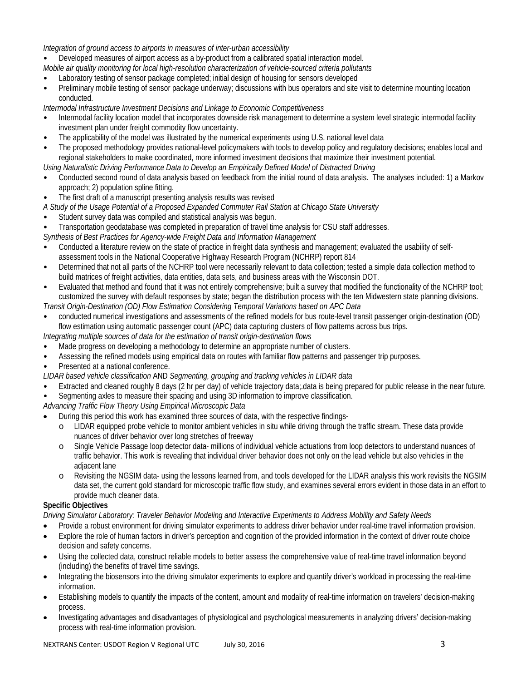*Integration of ground access to airports in measures of inter-urban accessibility*

- Developed measures of airport access as a by-product from a calibrated spatial interaction model.
- *Mobile air quality monitoring for local high-resolution characterization of vehicle-sourced criteria pollutants*
- Laboratory testing of sensor package completed; initial design of housing for sensors developed
- Preliminary mobile testing of sensor package underway; discussions with bus operators and site visit to determine mounting location conducted.

*Intermodal Infrastructure Investment Decisions and Linkage to Economic Competitiveness*

- Intermodal facility location model that incorporates downside risk management to determine a system level strategic intermodal facility investment plan under freight commodity flow uncertainty.
- The applicability of the model was illustrated by the numerical experiments using U.S. national level data
- The proposed methodology provides national-level policymakers with tools to develop policy and regulatory decisions; enables local and regional stakeholders to make coordinated, more informed investment decisions that maximize their investment potential.
- *Using Naturalistic Driving Performance Data to Develop an Empirically Defined Model of Distracted Driving*
- Conducted second round of data analysis based on feedback from the initial round of data analysis. The analyses included: 1) a Markov approach; 2) population spline fitting.
- The first draft of a manuscript presenting analysis results was revised
- *A Study of the Usage Potential of a Proposed Expanded Commuter Rail Station at Chicago State University*
- Student survey data was compiled and statistical analysis was begun.
- Transportation geodatabase was completed in preparation of travel time analysis for CSU staff addresses.
- *Synthesis of Best Practices for Agency-wide Freight Data and Information Management*
- Conducted a literature review on the state of practice in freight data synthesis and management; evaluated the usability of selfassessment tools in the National Cooperative Highway Research Program (NCHRP) report 814
- Determined that not all parts of the NCHRP tool were necessarily relevant to data collection; tested a simple data collection method to build matrices of freight activities, data entities, data sets, and business areas with the Wisconsin DOT.
- Evaluated that method and found that it was not entirely comprehensive; built a survey that modified the functionality of the NCHRP tool; customized the survey with default responses by state; began the distribution process with the ten Midwestern state planning divisions. *Transit Origin-Destination (OD) Flow Estimation Considering Temporal Variations based on APC Data*
- conducted numerical investigations and assessments of the refined models for bus route-level transit passenger origin-destination (OD) flow estimation using automatic passenger count (APC) data capturing clusters of flow patterns across bus trips.
- *Integrating multiple sources of data for the estimation of transit origin-destination flows*
- Made progress on developing a methodology to determine an appropriate number of clusters.
- Assessing the refined models using empirical data on routes with familiar flow patterns and passenger trip purposes.
- Presented at a national conference.

*LIDAR based vehicle classification* AND *Segmenting, grouping and tracking vehicles in LIDAR data*

- Extracted and cleaned roughly 8 days (2 hr per day) of vehicle trajectory data;.data is being prepared for public release in the near future.
- Segmenting axles to measure their spacing and using 3D information to improve classification.
- *Advancing Traffic Flow Theory Using Empirical Microscopic Data*
- During this period this work has examined three sources of data, with the respective findings
	- o LIDAR equipped probe vehicle to monitor ambient vehicles in situ while driving through the traffic stream. These data provide nuances of driver behavior over long stretches of freeway
	- o Single Vehicle Passage loop detector data- millions of individual vehicle actuations from loop detectors to understand nuances of traffic behavior. This work is revealing that individual driver behavior does not only on the lead vehicle but also vehicles in the adjacent lane
	- o Revisiting the NGSIM data- using the lessons learned from, and tools developed for the LIDAR analysis this work revisits the NGSIM data set, the current gold standard for microscopic traffic flow study, and examines several errors evident in those data in an effort to provide much cleaner data.

# **Specific Objectives**

*Driving Simulator Laboratory: Traveler Behavior Modeling and Interactive Experiments to Address Mobility and Safety Needs*

- Provide a robust environment for driving simulator experiments to address driver behavior under real-time travel information provision.
- Explore the role of human factors in driver's perception and cognition of the provided information in the context of driver route choice decision and safety concerns.
- Using the collected data, construct reliable models to better assess the comprehensive value of real-time travel information beyond (including) the benefits of travel time savings.
- Integrating the biosensors into the driving simulator experiments to explore and quantify driver's workload in processing the real-time information.
- Establishing models to quantify the impacts of the content, amount and modality of real-time information on travelers' decision-making process.
- Investigating advantages and disadvantages of physiological and psychological measurements in analyzing drivers' decision-making process with real-time information provision.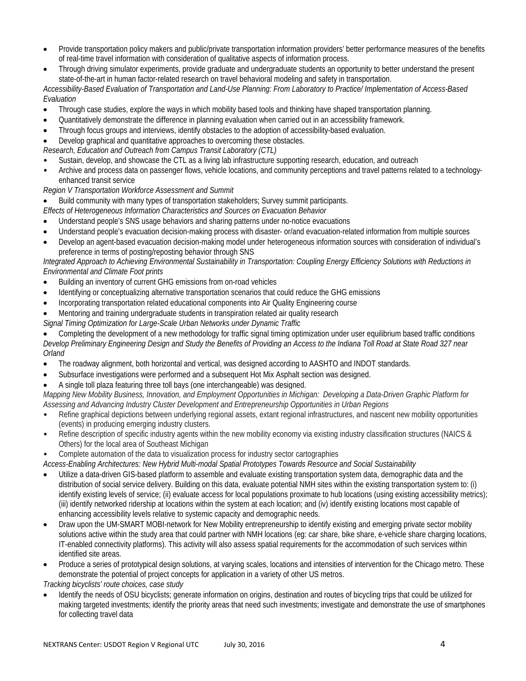- Provide transportation policy makers and public/private transportation information providers' better performance measures of the benefits of real-time travel information with consideration of qualitative aspects of information process.
- Through driving simulator experiments, provide graduate and undergraduate students an opportunity to better understand the present state-of-the-art in human factor-related research on travel behavioral modeling and safety in transportation.

*Accessibility-Based Evaluation of Transportation and Land-Use Planning: From Laboratory to Practice/ Implementation of Access-Based Evaluation*

- Through case studies, explore the ways in which mobility based tools and thinking have shaped transportation planning.
- Quantitatively demonstrate the difference in planning evaluation when carried out in an accessibility framework.
- Through focus groups and interviews, identify obstacles to the adoption of accessibility-based evaluation.
- Develop graphical and quantitative approaches to overcoming these obstacles.

*Research, Education and Outreach from Campus Transit Laboratory (CTL)*

- Sustain, develop, and showcase the CTL as a living lab infrastructure supporting research, education, and outreach
- Archive and process data on passenger flows, vehicle locations, and community perceptions and travel patterns related to a technologyenhanced transit service

### *Region V Transportation Workforce Assessment and Summit*

- Build community with many types of transportation stakeholders; Survey summit participants.
- *Effects of Heterogeneous Information Characteristics and Sources on Evacuation Behavior*
- Understand people's SNS usage behaviors and sharing patterns under no-notice evacuations
- Understand people's evacuation decision-making process with disaster- or/and evacuation-related information from multiple sources
- Develop an agent-based evacuation decision-making model under heterogeneous information sources with consideration of individual's preference in terms of posting/reposting behavior through SNS

*Integrated Approach to Achieving Environmental Sustainability in Transportation: Coupling Energy Efficiency Solutions with Reductions in Environmental and Climate Foot prints*

- Building an inventory of current GHG emissions from on-road vehicles
- Identifying or conceptualizing alternative transportation scenarios that could reduce the GHG emissions
- Incorporating transportation related educational components into Air Quality Engineering course
- Mentoring and training undergraduate students in transpiration related air quality research
- *Signal Timing Optimization for Large-Scale Urban Networks under Dynamic Traffic*

• Completing the development of a new methodology for traffic signal timing optimization under user equilibrium based traffic conditions *Develop Preliminary Engineering Design and Study the Benefits of Providing an Access to the Indiana Toll Road at State Road 327 near Orland*

- The roadway alignment, both horizontal and vertical, was designed according to AASHTO and INDOT standards.
- Subsurface investigations were performed and a subsequent Hot Mix Asphalt section was designed.
- A single toll plaza featuring three toll bays (one interchangeable) was designed.

*Mapping New Mobility Business, Innovation, and Employment Opportunities in Michigan: Developing a Data-Driven Graphic Platform for Assessing and Advancing Industry Cluster Development and Entrepreneurship Opportunities in Urban Regions*

- Refine graphical depictions between underlying regional assets, extant regional infrastructures, and nascent new mobility opportunities (events) in producing emerging industry clusters.
- Refine description of specific industry agents within the new mobility economy via existing industry classification structures (NAICS & Others) for the local area of Southeast Michigan

### • Complete automation of the data to visualization process for industry sector cartographies

- *Access-Enabling Architectures: New Hybrid Multi-modal Spatial Prototypes Towards Resource and Social Sustainability*
- Utilize a data-driven GIS-based platform to assemble and evaluate existing transportation system data, demographic data and the distribution of social service delivery. Building on this data, evaluate potential NMH sites within the existing transportation system to: (i) identify existing levels of service; (ii) evaluate access for local populations proximate to hub locations (using existing accessibility metrics); (iii) identify networked ridership at locations within the system at each location; and (iv) identify existing locations most capable of enhancing accessibility levels relative to systemic capacity and demographic needs.
- Draw upon the UM-SMART MOBI-network for New Mobility entrepreneurship to identify existing and emerging private sector mobility solutions active within the study area that could partner with NMH locations (eg: car share, bike share, e-vehicle share charging locations, IT-enabled connectivity platforms). This activity will also assess spatial requirements for the accommodation of such services within identified site areas.
- Produce a series of prototypical design solutions, at varying scales, locations and intensities of intervention for the Chicago metro. These demonstrate the potential of project concepts for application in a variety of other US metros.

*Tracking bicyclists' route choices, case study* 

• Identify the needs of OSU bicyclists; generate information on origins, destination and routes of bicycling trips that could be utilized for making targeted investments; identify the priority areas that need such investments; investigate and demonstrate the use of smartphones for collecting travel data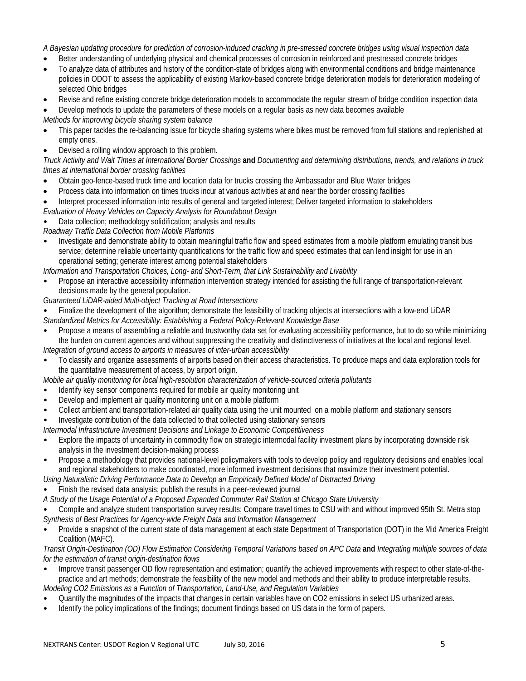*A Bayesian updating procedure for prediction of corrosion-induced cracking in pre-stressed concrete bridges using visual inspection data*

- Better understanding of underlying physical and chemical processes of corrosion in reinforced and prestressed concrete bridges
- To analyze data of attributes and history of the condition-state of bridges along with environmental conditions and bridge maintenance policies in ODOT to assess the applicability of existing Markov-based concrete bridge deterioration models for deterioration modeling of selected Ohio bridges
- Revise and refine existing concrete bridge deterioration models to accommodate the regular stream of bridge condition inspection data

• Develop methods to update the parameters of these models on a regular basis as new data becomes available *Methods for improving bicycle sharing system balance*

- This paper tackles the re-balancing issue for bicycle sharing systems where bikes must be removed from full stations and replenished at empty ones.
- Devised a rolling window approach to this problem.

*Truck Activity and Wait Times at International Border Crossings* **and** *Documenting and determining distributions, trends, and relations in truck times at international border crossing facilities*

- Obtain geo-fence-based truck time and location data for trucks crossing the Ambassador and Blue Water bridges
- Process data into information on times trucks incur at various activities at and near the border crossing facilities
- Interpret processed information into results of general and targeted interest; Deliver targeted information to stakeholders

## *Evaluation of Heavy Vehicles on Capacity Analysis for Roundabout Design*

• Data collection; methodology solidification; analysis and results

*Roadway Traffic Data Collection from Mobile Platforms*

• Investigate and demonstrate ability to obtain meaningful traffic flow and speed estimates from a mobile platform emulating transit bus service; determine reliable uncertainty quantifications for the traffic flow and speed estimates that can lend insight for use in an operational setting; generate interest among potential stakeholders

*Information and Transportation Choices, Long- and Short-Term, that Link Sustainability and Livability*

• Propose an interactive accessibility information intervention strategy intended for assisting the full range of transportation-relevant decisions made by the general population.

*Guaranteed LiDAR-aided Multi-object Tracking at Road Intersections*

• Finalize the development of the algorithm; demonstrate the feasibility of tracking objects at intersections with a low-end LiDAR *Standardized Metrics for Accessibility: Establishing a Federal Policy-Relevant Knowledge Base*

- Propose a means of assembling a reliable and trustworthy data set for evaluating accessibility performance, but to do so while minimizing the burden on current agencies and without suppressing the creativity and distinctiveness of initiatives at the local and regional level. *Integration of ground access to airports in measures of inter-urban accessibility*
- To classify and organize assessments of airports based on their access characteristics. To produce maps and data exploration tools for the quantitative measurement of access, by airport origin.
- *Mobile air quality monitoring for local high-resolution characterization of vehicle-sourced criteria pollutants*
- Identify key sensor components required for mobile air quality monitoring unit
- Develop and implement air quality monitoring unit on a mobile platform
- Collect ambient and transportation-related air quality data using the unit mounted on a mobile platform and stationary sensors
- Investigate contribution of the data collected to that collected using stationary sensors

*Intermodal Infrastructure Investment Decisions and Linkage to Economic Competitiveness*

- Explore the impacts of uncertainty in commodity flow on strategic intermodal facility investment plans by incorporating downside risk analysis in the investment decision-making process
- Propose a methodology that provides national-level policymakers with tools to develop policy and regulatory decisions and enables local and regional stakeholders to make coordinated, more informed investment decisions that maximize their investment potential.

*Using Naturalistic Driving Performance Data to Develop an Empirically Defined Model of Distracted Driving*

Finish the revised data analysis; publish the results in a peer-reviewed journal

*A Study of the Usage Potential of a Proposed Expanded Commuter Rail Station at Chicago State University*

• Compile and analyze student transportation survey results; Compare travel times to CSU with and without improved 95th St. Metra stop *Synthesis of Best Practices for Agency-wide Freight Data and Information Management*

• Provide a snapshot of the current state of data management at each state Department of Transportation (DOT) in the Mid America Freight Coalition (MAFC).

*Transit Origin-Destination (OD) Flow Estimation Considering Temporal Variations based on APC Data* **and** *Integrating multiple sources of data for the estimation of transit origin-destination flows*

- Improve transit passenger OD flow representation and estimation; quantify the achieved improvements with respect to other state-of-thepractice and art methods; demonstrate the feasibility of the new model and methods and their ability to produce interpretable results. *Modeling CO2 Emissions as a Function of Transportation, Land-Use, and Regulation Variables*
- Quantify the magnitudes of the impacts that changes in certain variables have on CO2 emissions in select US urbanized areas.
- Identify the policy implications of the findings; document findings based on US data in the form of papers.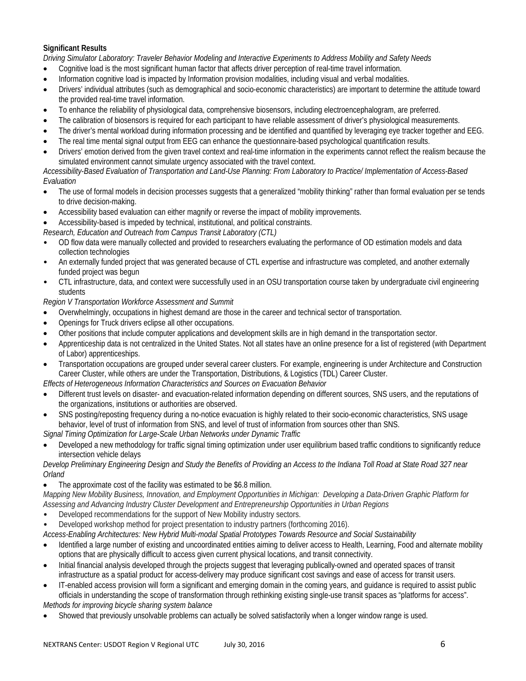# **Significant Results**

*Driving Simulator Laboratory: Traveler Behavior Modeling and Interactive Experiments to Address Mobility and Safety Needs*

- Cognitive load is the most significant human factor that affects driver perception of real-time travel information.
- Information cognitive load is impacted by Information provision modalities, including visual and verbal modalities.
- Drivers' individual attributes (such as demographical and socio-economic characteristics) are important to determine the attitude toward the provided real-time travel information.
- To enhance the reliability of physiological data, comprehensive biosensors, including electroencephalogram, are preferred.
- The calibration of biosensors is required for each participant to have reliable assessment of driver's physiological measurements.
- The driver's mental workload during information processing and be identified and quantified by leveraging eye tracker together and EEG.
- The real time mental signal output from EEG can enhance the questionnaire-based psychological quantification results.
- Drivers' emotion derived from the given travel context and real-time information in the experiments cannot reflect the realism because the simulated environment cannot simulate urgency associated with the travel context.

*Accessibility-Based Evaluation of Transportation and Land-Use Planning: From Laboratory to Practice/ Implementation of Access-Based Evaluation*

- The use of formal models in decision processes suggests that a generalized "mobility thinking" rather than formal evaluation per se tends to drive decision-making.
- Accessibility based evaluation can either magnify or reverse the impact of mobility improvements.
- Accessibility-based is impeded by technical, institutional, and political constraints.

*Research, Education and Outreach from Campus Transit Laboratory (CTL)*

- OD flow data were manually collected and provided to researchers evaluating the performance of OD estimation models and data collection technologies
- An externally funded project that was generated because of CTL expertise and infrastructure was completed, and another externally funded project was begun
- CTL infrastructure, data, and context were successfully used in an OSU transportation course taken by undergraduate civil engineering students

*Region V Transportation Workforce Assessment and Summit*

- Overwhelmingly, occupations in highest demand are those in the career and technical sector of transportation.
- Openings for Truck drivers eclipse all other occupations.
- Other positions that include computer applications and development skills are in high demand in the transportation sector.
- Apprenticeship data is not centralized in the United States. Not all states have an online presence for a list of registered (with Department of Labor) apprenticeships.
- Transportation occupations are grouped under several career clusters. For example, engineering is under Architecture and Construction Career Cluster, while others are under the Transportation, Distributions, & Logistics (TDL) Career Cluster.

*Effects of Heterogeneous Information Characteristics and Sources on Evacuation Behavior*

- Different trust levels on disaster- and evacuation-related information depending on different sources, SNS users, and the reputations of the organizations, institutions or authorities are observed.
- SNS posting/reposting frequency during a no-notice evacuation is highly related to their socio-economic characteristics, SNS usage behavior, level of trust of information from SNS, and level of trust of information from sources other than SNS.

*Signal Timing Optimization for Large-Scale Urban Networks under Dynamic Traffic*

• Developed a new methodology for traffic signal timing optimization under user equilibrium based traffic conditions to significantly reduce intersection vehicle delays

*Develop Preliminary Engineering Design and Study the Benefits of Providing an Access to the Indiana Toll Road at State Road 327 near Orland*

The approximate cost of the facility was estimated to be \$6.8 million.

*Mapping New Mobility Business, Innovation, and Employment Opportunities in Michigan: Developing a Data-Driven Graphic Platform for Assessing and Advancing Industry Cluster Development and Entrepreneurship Opportunities in Urban Regions*

• Developed recommendations for the support of New Mobility industry sectors.

• Developed workshop method for project presentation to industry partners (forthcoming 2016).

- *Access-Enabling Architectures: New Hybrid Multi-modal Spatial Prototypes Towards Resource and Social Sustainability*
- Identified a large number of existing and uncoordinated entities aiming to deliver access to Health, Learning, Food and alternate mobility options that are physically difficult to access given current physical locations, and transit connectivity.
- Initial financial analysis developed through the projects suggest that leveraging publically-owned and operated spaces of transit infrastructure as a spatial product for access-delivery may produce significant cost savings and ease of access for transit users.
- IT-enabled access provision will form a significant and emerging domain in the coming years, and guidance is required to assist public officials in understanding the scope of transformation through rethinking existing single-use transit spaces as "platforms for access".

*Methods for improving bicycle sharing system balance*

• Showed that previously unsolvable problems can actually be solved satisfactorily when a longer window range is used.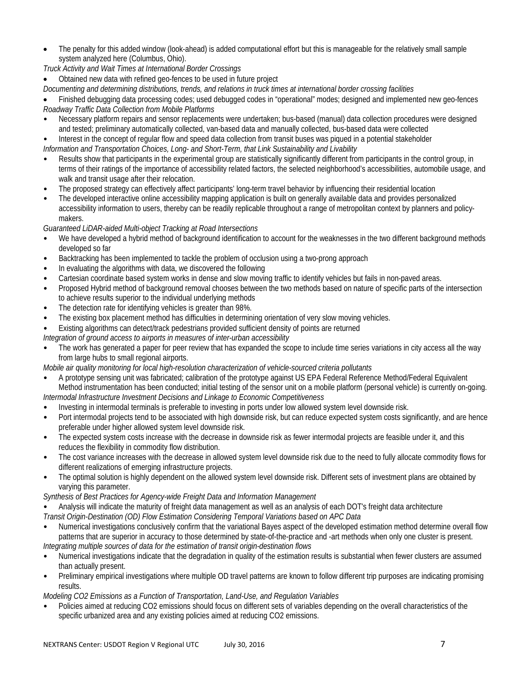• The penalty for this added window (look-ahead) is added computational effort but this is manageable for the relatively small sample system analyzed here (Columbus, Ohio).

*Truck Activity and Wait Times at International Border Crossings*

• Obtained new data with refined geo-fences to be used in future project

*Documenting and determining distributions, trends, and relations in truck times at international border crossing facilities*

• Finished debugging data processing codes; used debugged codes in "operational" modes; designed and implemented new geo-fences *Roadway Traffic Data Collection from Mobile Platforms*

• Necessary platform repairs and sensor replacements were undertaken; bus-based (manual) data collection procedures were designed and tested; preliminary automatically collected, van-based data and manually collected, bus-based data were collected

• Interest in the concept of regular flow and speed data collection from transit buses was piqued in a potential stakeholder

*Information and Transportation Choices, Long- and Short-Term, that Link Sustainability and Livability*

- Results show that participants in the experimental group are statistically significantly different from participants in the control group, in terms of their ratings of the importance of accessibility related factors, the selected neighborhood's accessibilities, automobile usage, and walk and transit usage after their relocation.
- The proposed strategy can effectively affect participants' long-term travel behavior by influencing their residential location
- The developed interactive online accessibility mapping application is built on generally available data and provides personalized accessibility information to users, thereby can be readily replicable throughout a range of metropolitan context by planners and policymakers.

*Guaranteed LiDAR-aided Multi-object Tracking at Road Intersections*

- We have developed a hybrid method of background identification to account for the weaknesses in the two different background methods developed so far
- Backtracking has been implemented to tackle the problem of occlusion using a two-prong approach
- In evaluating the algorithms with data, we discovered the following
- Cartesian coordinate based system works in dense and slow moving traffic to identify vehicles but fails in non-paved areas.
- Proposed Hybrid method of background removal chooses between the two methods based on nature of specific parts of the intersection to achieve results superior to the individual underlying methods
- The detection rate for identifying vehicles is greater than 98%.
- The existing box placement method has difficulties in determining orientation of very slow moving vehicles.

• Existing algorithms can detect/track pedestrians provided sufficient density of points are returned

*Integration of ground access to airports in measures of inter-urban accessibility*

• The work has generated a paper for peer review that has expanded the scope to include time series variations in city access all the way from large hubs to small regional airports.

*Mobile air quality monitoring for local high-resolution characterization of vehicle-sourced criteria pollutants*

• A prototype sensing unit was fabricated; calibration of the prototype against US EPA Federal Reference Method/Federal Equivalent Method instrumentation has been conducted; initial testing of the sensor unit on a mobile platform (personal vehicle) is currently on-going.

*Intermodal Infrastructure Investment Decisions and Linkage to Economic Competitiveness*

- Investing in intermodal terminals is preferable to investing in ports under low allowed system level downside risk.
- Port intermodal projects tend to be associated with high downside risk, but can reduce expected system costs significantly, and are hence preferable under higher allowed system level downside risk.
- The expected system costs increase with the decrease in downside risk as fewer intermodal projects are feasible under it, and this reduces the flexibility in commodity flow distribution.
- The cost variance increases with the decrease in allowed system level downside risk due to the need to fully allocate commodity flows for different realizations of emerging infrastructure projects.
- The optimal solution is highly dependent on the allowed system level downside risk. Different sets of investment plans are obtained by varying this parameter.
- *Synthesis of Best Practices for Agency-wide Freight Data and Information Management*

• Analysis will indicate the maturity of freight data management as well as an analysis of each DOT's freight data architecture *Transit Origin-Destination (OD) Flow Estimation Considering Temporal Variations based on APC Data*

- Numerical investigations conclusively confirm that the variational Bayes aspect of the developed estimation method determine overall flow patterns that are superior in accuracy to those determined by state-of-the-practice and -art methods when only one cluster is present. *Integrating multiple sources of data for the estimation of transit origin-destination flows*
- Numerical investigations indicate that the degradation in quality of the estimation results is substantial when fewer clusters are assumed than actually present.
- Preliminary empirical investigations where multiple OD travel patterns are known to follow different trip purposes are indicating promising results.

*Modeling CO2 Emissions as a Function of Transportation, Land-Use, and Regulation Variables*

• Policies aimed at reducing CO2 emissions should focus on different sets of variables depending on the overall characteristics of the specific urbanized area and any existing policies aimed at reducing CO2 emissions.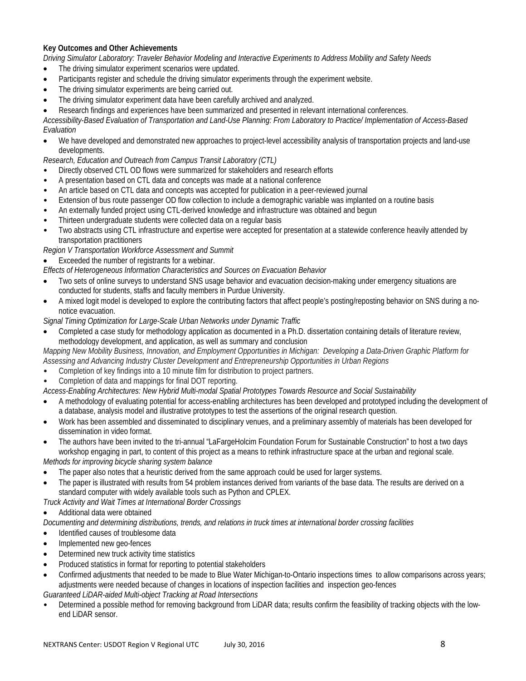## **Key Outcomes and Other Achievements**

*Driving Simulator Laboratory: Traveler Behavior Modeling and Interactive Experiments to Address Mobility and Safety Needs*

- The driving simulator experiment scenarios were updated.
- Participants register and schedule the driving simulator experiments through the experiment website.
- The driving simulator experiments are being carried out.
- The driving simulator experiment data have been carefully archived and analyzed.
- Research findings and experiences have been summarized and presented in relevant international conferences.

*Accessibility-Based Evaluation of Transportation and Land-Use Planning: From Laboratory to Practice/ Implementation of Access-Based Evaluation*

• We have developed and demonstrated new approaches to project-level accessibility analysis of transportation projects and land-use developments.

### *Research, Education and Outreach from Campus Transit Laboratory (CTL)*

- Directly observed CTL OD flows were summarized for stakeholders and research efforts
- A presentation based on CTL data and concepts was made at a national conference
- An article based on CTL data and concepts was accepted for publication in a peer-reviewed journal
- Extension of bus route passenger OD flow collection to include a demographic variable was implanted on a routine basis
- An externally funded project using CTL-derived knowledge and infrastructure was obtained and begun
- Thirteen undergraduate students were collected data on a regular basis
- Two abstracts using CTL infrastructure and expertise were accepted for presentation at a statewide conference heavily attended by transportation practitioners

### *Region V Transportation Workforce Assessment and Summit*

Exceeded the number of registrants for a webinar.

*Effects of Heterogeneous Information Characteristics and Sources on Evacuation Behavior*

- Two sets of online surveys to understand SNS usage behavior and evacuation decision-making under emergency situations are conducted for students, staffs and faculty members in Purdue University.
- A mixed logit model is developed to explore the contributing factors that affect people's posting/reposting behavior on SNS during a nonotice evacuation.

*Signal Timing Optimization for Large-Scale Urban Networks under Dynamic Traffic*

• Completed a case study for methodology application as documented in a Ph.D. dissertation containing details of literature review, methodology development, and application, as well as summary and conclusion

*Mapping New Mobility Business, Innovation, and Employment Opportunities in Michigan: Developing a Data-Driven Graphic Platform for Assessing and Advancing Industry Cluster Development and Entrepreneurship Opportunities in Urban Regions*

- Completion of key findings into a 10 minute film for distribution to project partners.
- Completion of data and mappings for final DOT reporting.

*Access-Enabling Architectures: New Hybrid Multi-modal Spatial Prototypes Towards Resource and Social Sustainability* 

- A methodology of evaluating potential for access-enabling architectures has been developed and prototyped including the development of a database, analysis model and illustrative prototypes to test the assertions of the original research question.
- Work has been assembled and disseminated to disciplinary venues, and a preliminary assembly of materials has been developed for dissemination in video format.
- The authors have been invited to the tri-annual "LaFargeHolcim Foundation Forum for Sustainable Construction" to host a two days workshop engaging in part, to content of this project as a means to rethink infrastructure space at the urban and regional scale.

*Methods for improving bicycle sharing system balance*

- The paper also notes that a heuristic derived from the same approach could be used for larger systems.
- The paper is illustrated with results from 54 problem instances derived from variants of the base data. The results are derived on a standard computer with widely available tools such as Python and CPLEX.

*Truck Activity and Wait Times at International Border Crossings*

### • Additional data were obtained

*Documenting and determining distributions, trends, and relations in truck times at international border crossing facilities*

- Identified causes of troublesome data
- Implemented new geo-fences
- Determined new truck activity time statistics
- Produced statistics in format for reporting to potential stakeholders
- Confirmed adjustments that needed to be made to Blue Water Michigan-to-Ontario inspections times to allow comparisons across years; adjustments were needed because of changes in locations of inspection facilities and inspection geo-fences

*Guaranteed LiDAR-aided Multi-object Tracking at Road Intersections*

• Determined a possible method for removing background from LiDAR data; results confirm the feasibility of tracking objects with the lowend LiDAR sensor.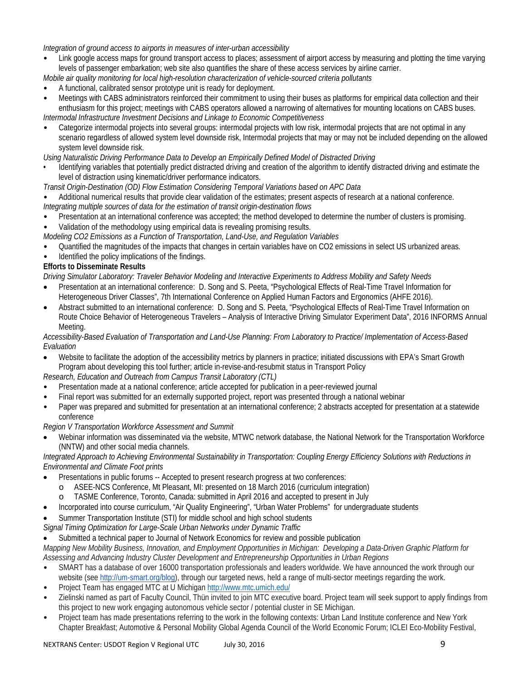*Integration of ground access to airports in measures of inter-urban accessibility*

- Link google access maps for ground transport access to places; assessment of airport access by measuring and plotting the time varying levels of passenger embarkation; web site also quantifies the share of these access services by airline carrier. *Mobile air quality monitoring for local high-resolution characterization of vehicle-sourced criteria pollutants*
- A functional, calibrated sensor prototype unit is ready for deployment.
- Meetings with CABS administrators reinforced their commitment to using their buses as platforms for empirical data collection and their enthusiasm for this project; meetings with CABS operators allowed a narrowing of alternatives for mounting locations on CABS buses. *Intermodal Infrastructure Investment Decisions and Linkage to Economic Competitiveness*
- Categorize intermodal projects into several groups: intermodal projects with low risk, intermodal projects that are not optimal in any scenario regardless of allowed system level downside risk, Intermodal projects that may or may not be included depending on the allowed system level downside risk.

*Using Naturalistic Driving Performance Data to Develop an Empirically Defined Model of Distracted Driving*

- Identifying variables that potentially predict distracted driving and creation of the algorithm to identify distracted driving and estimate the level of distraction using kinematic/driver performance indicators.
- *Transit Origin-Destination (OD) Flow Estimation Considering Temporal Variations based on APC Data*

• Additional numerical results that provide clear validation of the estimates; present aspects of research at a national conference. *Integrating multiple sources of data for the estimation of transit origin-destination flows*

- Presentation at an international conference was accepted; the method developed to determine the number of clusters is promising.
- Validation of the methodology using empirical data is revealing promising results.
- *Modeling CO2 Emissions as a Function of Transportation, Land-Use, and Regulation Variables*
- Quantified the magnitudes of the impacts that changes in certain variables have on CO2 emissions in select US urbanized areas.
- Identified the policy implications of the findings.

## **Efforts to Disseminate Results**

*Driving Simulator Laboratory: Traveler Behavior Modeling and Interactive Experiments to Address Mobility and Safety Needs*

- Presentation at an international conference: D. Song and S. Peeta, "Psychological Effects of Real-Time Travel Information for Heterogeneous Driver Classes", 7th International Conference on Applied Human Factors and Ergonomics (AHFE 2016).
- Abstract submitted to an international conference: D. Song and S. Peeta, "Psychological Effects of Real-Time Travel Information on Route Choice Behavior of Heterogeneous Travelers – Analysis of Interactive Driving Simulator Experiment Data", 2016 INFORMS Annual Meeting.

### *Accessibility-Based Evaluation of Transportation and Land-Use Planning: From Laboratory to Practice/ Implementation of Access-Based Evaluation*

• Website to facilitate the adoption of the accessibility metrics by planners in practice; initiated discussions with EPA's Smart Growth Program about developing this tool further; article in-revise-and-resubmit status in Transport Policy

*Research, Education and Outreach from Campus Transit Laboratory (CTL)*

- Presentation made at a national conference; article accepted for publication in a peer-reviewed journal
- Final report was submitted for an externally supported project, report was presented through a national webinar
- Paper was prepared and submitted for presentation at an international conference; 2 abstracts accepted for presentation at a statewide conference

*Region V Transportation Workforce Assessment and Summit*

• Webinar information was disseminated via the website, MTWC network database, the National Network for the Transportation Workforce (NNTW) and other social media channels.

*Integrated Approach to Achieving Environmental Sustainability in Transportation: Coupling Energy Efficiency Solutions with Reductions in Environmental and Climate Foot prints*

- Presentations in public forums -- Accepted to present research progress at two conferences:
	- o ASEE-NCS Conference, Mt Pleasant, MI: presented on 18 March 2016 (curriculum integration)
		- TASME Conference, Toronto, Canada: submitted in April 2016 and accepted to present in July
	- Incorporated into course curriculum, "Air Quality Engineering", "Urban Water Problems" for undergraduate students
- Summer Transportation Institute (STI) for middle school and high school students

*Signal Timing Optimization for Large-Scale Urban Networks under Dynamic Traffic*

• Submitted a technical paper to Journal of Network Economics for review and possible publication

*Mapping New Mobility Business, Innovation, and Employment Opportunities in Michigan: Developing a Data-Driven Graphic Platform for Assessing and Advancing Industry Cluster Development and Entrepreneurship Opportunities in Urban Regions*

- SMART has a database of over 16000 transportation professionals and leaders worldwide. We have announced the work through our website (se[e http://um-smart.org/blog\)](http://um-smart.org/blog), through our targeted news, held a range of multi-sector meetings regarding the work.
- Project Team has engaged MTC at U Michiga[n http://www.mtc.umich.edu/](http://www.mtc.umich.edu/)
- Zielinski named as part of Faculty Council, Thün invited to join MTC executive board. Project team will seek support to apply findings from this project to new work engaging autonomous vehicle sector / potential cluster in SE Michigan.
- Project team has made presentations referring to the work in the following contexts: Urban Land Institute conference and New York Chapter Breakfast; Automotive & Personal Mobility Global Agenda Council of the World Economic Forum; ICLEI Eco-Mobility Festival,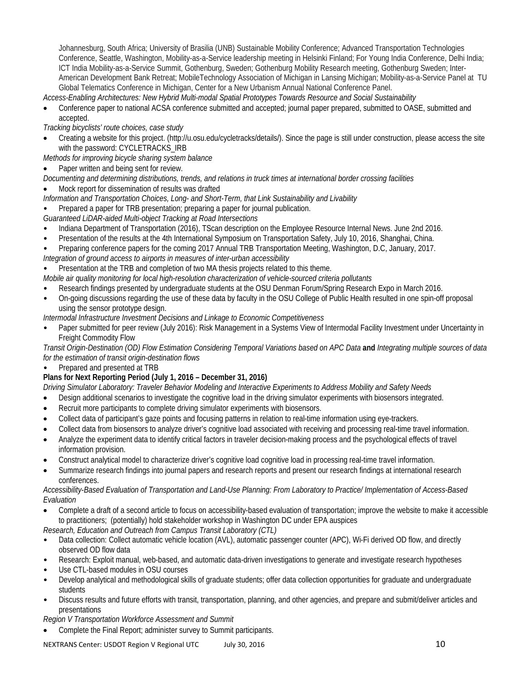Johannesburg, South Africa; University of Brasilia (UNB) Sustainable Mobility Conference; Advanced Transportation Technologies Conference, Seattle, Washington, Mobility-as-a-Service leadership meeting in Helsinki Finland; For Young India Conference, Delhi India; ICT India Mobility-as-a-Service Summit, Gothenburg, Sweden; Gothenburg Mobility Research meeting, Gothenburg Sweden; Inter-American Development Bank Retreat; MobileTechnology Association of Michigan in Lansing Michigan; Mobility-as-a-Service Panel at TU Global Telematics Conference in Michigan, Center for a New Urbanism Annual National Conference Panel.

*Access-Enabling Architectures: New Hybrid Multi-modal Spatial Prototypes Towards Resource and Social Sustainability* 

- Conference paper to national ACSA conference submitted and accepted; journal paper prepared, submitted to OASE, submitted and accepted.
- *Tracking bicyclists' route choices, case study*
- Creating a website for this project. (http://u.osu.edu/cycletracks/details/). Since the page is still under construction, please access the site with the password: CYCLETRACKS\_IRB
- *Methods for improving bicycle sharing system balance*
- Paper written and being sent for review.
- *Documenting and determining distributions, trends, and relations in truck times at international border crossing facilities*
- Mock report for dissemination of results was drafted
- *Information and Transportation Choices, Long- and Short-Term, that Link Sustainability and Livability*
- Prepared a paper for TRB presentation; preparing a paper for journal publication.
- *Guaranteed LiDAR-aided Multi-object Tracking at Road Intersections*
- Indiana Department of Transportation (2016), TScan description on the Employee Resource Internal News. June 2nd 2016.
- Presentation of the results at the 4th International Symposium on Transportation Safety, July 10, 2016, Shanghai, China.
- Preparing conference papers for the coming 2017 Annual TRB Transportation Meeting, Washington, D.C, January, 2017.
- *Integration of ground access to airports in measures of inter-urban accessibility*
- Presentation at the TRB and completion of two MA thesis projects related to this theme.
- *Mobile air quality monitoring for local high-resolution characterization of vehicle-sourced criteria pollutants*
- Research findings presented by undergraduate students at the OSU Denman Forum/Spring Research Expo in March 2016.
- On-going discussions regarding the use of these data by faculty in the OSU College of Public Health resulted in one spin-off proposal using the sensor prototype design.

*Intermodal Infrastructure Investment Decisions and Linkage to Economic Competitiveness*

• Paper submitted for peer review (July 2016): Risk Management in a Systems View of Intermodal Facility Investment under Uncertainty in Freight Commodity Flow

*Transit Origin-Destination (OD) Flow Estimation Considering Temporal Variations based on APC Data* **and** *Integrating multiple sources of data for the estimation of transit origin-destination flows*

• Prepared and presented at TRB

## **Plans for Next Reporting Period (July 1, 2016 – December 31, 2016)**

*Driving Simulator Laboratory: Traveler Behavior Modeling and Interactive Experiments to Address Mobility and Safety Needs*

- Design additional scenarios to investigate the cognitive load in the driving simulator experiments with biosensors integrated.
- Recruit more participants to complete driving simulator experiments with biosensors.
- Collect data of participant's gaze points and focusing patterns in relation to real-time information using eye-trackers.
- Collect data from biosensors to analyze driver's cognitive load associated with receiving and processing real-time travel information.
- Analyze the experiment data to identify critical factors in traveler decision-making process and the psychological effects of travel information provision.
- Construct analytical model to characterize driver's cognitive load cognitive load in processing real-time travel information.
- Summarize research findings into journal papers and research reports and present our research findings at international research conferences.

### *Accessibility-Based Evaluation of Transportation and Land-Use Planning: From Laboratory to Practice/ Implementation of Access-Based Evaluation*

• Complete a draft of a second article to focus on accessibility-based evaluation of transportation; improve the website to make it accessible to practitioners; (potentially) hold stakeholder workshop in Washington DC under EPA auspices

*Research, Education and Outreach from Campus Transit Laboratory (CTL)*

- Data collection: Collect automatic vehicle location (AVL), automatic passenger counter (APC), Wi-Fi derived OD flow, and directly observed OD flow data
- Research: Exploit manual, web-based, and automatic data-driven investigations to generate and investigate research hypotheses
- Use CTL-based modules in OSU courses
- Develop analytical and methodological skills of graduate students; offer data collection opportunities for graduate and undergraduate students
- Discuss results and future efforts with transit, transportation, planning, and other agencies, and prepare and submit/deliver articles and presentations

### *Region V Transportation Workforce Assessment and Summit*

• Complete the Final Report; administer survey to Summit participants.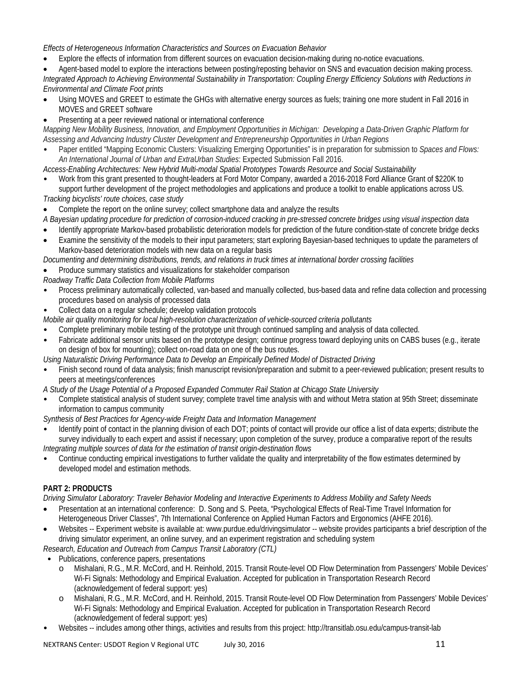*Effects of Heterogeneous Information Characteristics and Sources on Evacuation Behavior*

• Explore the effects of information from different sources on evacuation decision-making during no-notice evacuations.

• Agent-based model to explore the interactions between posting/reposting behavior on SNS and evacuation decision making process. *Integrated Approach to Achieving Environmental Sustainability in Transportation: Coupling Energy Efficiency Solutions with Reductions in Environmental and Climate Foot prints*

- Using MOVES and GREET to estimate the GHGs with alternative energy sources as fuels; training one more student in Fall 2016 in MOVES and GREET software
- Presenting at a peer reviewed national or international conference

*Mapping New Mobility Business, Innovation, and Employment Opportunities in Michigan: Developing a Data-Driven Graphic Platform for Assessing and Advancing Industry Cluster Development and Entrepreneurship Opportunities in Urban Regions*

- Paper entitled "Mapping Economic Clusters: Visualizing Emerging Opportunities" is in preparation for submission to *Spaces and Flows: An International Journal of Urban and ExtraUrban Studies*: Expected Submission Fall 2016.
- *Access-Enabling Architectures: New Hybrid Multi-modal Spatial Prototypes Towards Resource and Social Sustainability*
- Work from this grant presented to thought-leaders at Ford Motor Company, awarded a 2016-2018 Ford Alliance Grant of \$220K to support further development of the project methodologies and applications and produce a toolkit to enable applications across US. *Tracking bicyclists' route choices, case study*
- Complete the report on the online survey; collect smartphone data and analyze the results
- *A Bayesian updating procedure for prediction of corrosion-induced cracking in pre-stressed concrete bridges using visual inspection data*
- Identify appropriate Markov-based probabilistic deterioration models for prediction of the future condition-state of concrete bridge decks
- Examine the sensitivity of the models to their input parameters; start exploring Bayesian-based techniques to update the parameters of Markov-based deterioration models with new data on a regular basis

*Documenting and determining distributions, trends, and relations in truck times at international border crossing facilities*

- Produce summary statistics and visualizations for stakeholder comparison
- *Roadway Traffic Data Collection from Mobile Platforms*
- Process preliminary automatically collected, van-based and manually collected, bus-based data and refine data collection and processing procedures based on analysis of processed data
- Collect data on a regular schedule; develop validation protocols

*Mobile air quality monitoring for local high-resolution characterization of vehicle-sourced criteria pollutants*

- Complete preliminary mobile testing of the prototype unit through continued sampling and analysis of data collected.
- Fabricate additional sensor units based on the prototype design; continue progress toward deploying units on CABS buses (e.g., iterate on design of box for mounting); collect on-road data on one of the bus routes.

*Using Naturalistic Driving Performance Data to Develop an Empirically Defined Model of Distracted Driving*

• Finish second round of data analysis; finish manuscript revision/preparation and submit to a peer-reviewed publication; present results to peers at meetings/conferences

*A Study of the Usage Potential of a Proposed Expanded Commuter Rail Station at Chicago State University*

- Complete statistical analysis of student survey; complete travel time analysis with and without Metra station at 95th Street; disseminate information to campus community
- *Synthesis of Best Practices for Agency-wide Freight Data and Information Management*
- Identify point of contact in the planning division of each DOT; points of contact will provide our office a list of data experts; distribute the survey individually to each expert and assist if necessary; upon completion of the survey, produce a comparative report of the results *Integrating multiple sources of data for the estimation of transit origin-destination flows*
- Continue conducting empirical investigations to further validate the quality and interpretability of the flow estimates determined by developed model and estimation methods.

## **PART 2: PRODUCTS**

*Driving Simulator Laboratory: Traveler Behavior Modeling and Interactive Experiments to Address Mobility and Safety Needs*

- Presentation at an international conference: D. Song and S. Peeta, "Psychological Effects of Real-Time Travel Information for Heterogeneous Driver Classes", 7th International Conference on Applied Human Factors and Ergonomics (AHFE 2016).
- Websites -- Experiment website is available at: [www.purdue.edu/drivingsimulator](http://www.purdue.edu/drivingsimulator) -- website provides participants a brief description of the driving simulator experiment, an online survey, and an experiment registration and scheduling system

*Research, Education and Outreach from Campus Transit Laboratory (CTL)*

- Publications, conference papers, presentations
	- o Mishalani, R.G., M.R. McCord, and H. Reinhold, 2015. Transit Route-level OD Flow Determination from Passengers' Mobile Devices' Wi-Fi Signals: Methodology and Empirical Evaluation. Accepted for publication in Transportation Research Record (acknowledgement of federal support: yes)
	- o Mishalani, R.G., M.R. McCord, and H. Reinhold, 2015. Transit Route-level OD Flow Determination from Passengers' Mobile Devices' Wi-Fi Signals: Methodology and Empirical Evaluation. Accepted for publication in Transportation Research Record (acknowledgement of federal support: yes)
- Websites -- includes among other things, activities and results from this project: http://transitlab.osu.edu/campus-transit-lab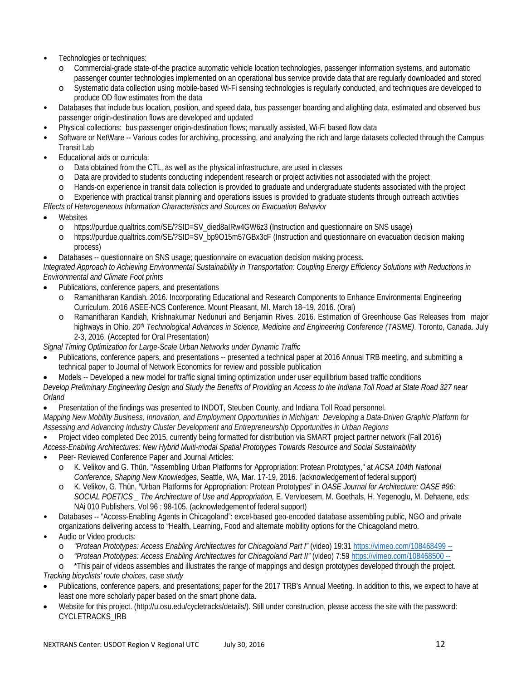- Technologies or techniques:
	- o Commercial-grade state-of-the practice automatic vehicle location technologies, passenger information systems, and automatic passenger counter technologies implemented on an operational bus service provide data that are regularly downloaded and stored
	- Systematic data collection using mobile-based Wi-Fi sensing technologies is regularly conducted, and techniques are developed to produce OD flow estimates from the data
- Databases that include bus location, position, and speed data, bus passenger boarding and alighting data, estimated and observed bus passenger origin-destination flows are developed and updated
- Physical collections: bus passenger origin-destination flows; manually assisted, Wi-Fi based flow data
- Software or NetWare -- Various codes for archiving, processing, and analyzing the rich and large datasets collected through the Campus Transit Lab
- Educational aids or curricula:
	- o Data obtained from the CTL, as well as the physical infrastructure, are used in classes
	- Data are provided to students conducting independent research or project activities not associated with the project
	- o Hands-on experience in transit data collection is provided to graduate and undergraduate students associated with the project

o Experience with practical transit planning and operations issues is provided to graduate students through outreach activities

## *Effects of Heterogeneous Information Characteristics and Sources on Evacuation Behavior*

- **Websites** 
	- o https://purdue.qualtrics.com/SE/?SID=SV\_died8aIRw4GW6z3 (Instruction and questionnaire on SNS usage)
	- https://purdue.qualtrics.com/SE/?SID=SV\_bp9O15m57GBx3cF (Instruction and questionnaire on evacuation decision making process)
- Databases -- questionnaire on SNS usage; questionnaire on evacuation decision making process.

*Integrated Approach to Achieving Environmental Sustainability in Transportation: Coupling Energy Efficiency Solutions with Reductions in Environmental and Climate Foot prints*

- Publications, conference papers, and presentations
	- Ramanitharan Kandiah. 2016. Incorporating Educational and Research Components to Enhance Environmental Engineering Curriculum. 2016 ASEE-NCS Conference. Mount Pleasant, MI. March 18–19, 2016. (Oral)
	- o Ramanitharan Kandiah, Krishnakumar Nedunuri and Benjamin Rives. 2016. Estimation of Greenhouse Gas Releases from major highways in Ohio. 20<sup>th</sup> *Technological Advances in Science, Medicine and Engineering Conference (TASME)*. Toronto, Canada. July 2-3, 2016. (Accepted for Oral Presentation)

*Signal Timing Optimization for Large-Scale Urban Networks under Dynamic Traffic*

- Publications, conference papers, and presentations -- presented a technical paper at 2016 Annual TRB meeting, and submitting a technical paper to Journal of Network Economics for review and possible publication
- Models -- Developed a new model for traffic signal timing optimization under user equilibrium based traffic conditions

*Develop Preliminary Engineering Design and Study the Benefits of Providing an Access to the Indiana Toll Road at State Road 327 near Orland*

• Presentation of the findings was presented to INDOT, Steuben County, and Indiana Toll Road personnel.

*Mapping New Mobility Business, Innovation, and Employment Opportunities in Michigan: Developing a Data-Driven Graphic Platform for Assessing and Advancing Industry Cluster Development and Entrepreneurship Opportunities in Urban Regions*

• Project video completed Dec 2015, currently being formatted for distribution via SMART project partner network (Fall 2016)

*Access-Enabling Architectures: New Hybrid Multi-modal Spatial Prototypes Towards Resource and Social Sustainability* 

- Peer- Reviewed Conference Paper and Journal Articles:
	- o K. Velikov and G. Thün. "Assembling Urban Platforms for Appropriation: Protean Prototypes," at *ACSA 104th National Conference, Shaping New Knowledges*, Seattle, WA, Mar. 17-19, 2016. (acknowledgement of federal support)
	- o K. Velikov, G. Thün, "Urban Platforms for Appropriation: Protean Prototypes" in *OASE Journal for Architecture: OASE #96: SOCIAL POETICS \_ The Architecture of Use and Appropriation,* E. Vervloesem, M. Goethals, H. Yegenoglu, M. Dehaene, eds: NAi 010 Publishers, Vol 96 : 98-105. (acknowledgement of federal support)
- Databases -- "Access-Enabling Agents in Chicagoland": excel-based geo-encoded database assembling public, NGO and private organizations delivering access to "Health, Learning, Food and alternate mobility options for the Chicagoland metro.
- Audio or Video products:
	- o *"Protean Prototypes: Access Enabling Architectures for Chicagoland Part I"* (video) 19:31 <https://vimeo.com/108468499> --
	- o *"Protean Prototypes: Access Enabling Architectures for Chicagoland Part II"* (video) 7:59 <https://vimeo.com/108468500> --<br>o \*This pair of videos assembles and illustrates the range of mappings and design prototypes deve

\*This pair of videos assembles and illustrates the range of mappings and design prototypes developed through the project. *Tracking bicyclists' route choices, case study* 

- Publications, conference papers, and presentations: paper for the 2017 TRB's Annual Meeting. In addition to this, we expect to have at least one more scholarly paper based on the smart phone data.
- Website for this project. (http://u.osu.edu/cycletracks/details/). Still under construction, please access the site with the password: CYCLETRACKS\_IRB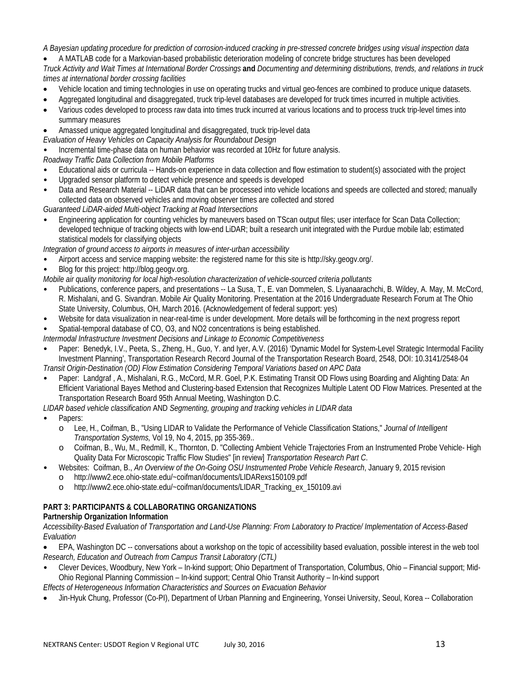*A Bayesian updating procedure for prediction of corrosion-induced cracking in pre-stressed concrete bridges using visual inspection data*

• A MATLAB code for a Markovian-based probabilistic deterioration modeling of concrete bridge structures has been developed

*Truck Activity and Wait Times at International Border Crossings* **and** *Documenting and determining distributions, trends, and relations in truck times at international border crossing facilities*

- Vehicle location and timing technologies in use on operating trucks and virtual geo-fences are combined to produce unique datasets.
- Aggregated longitudinal and disaggregated, truck trip-level databases are developed for truck times incurred in multiple activities.
- Various codes developed to process raw data into times truck incurred at various locations and to process truck trip-level times into summary measures
- Amassed unique aggregated longitudinal and disaggregated, truck trip-level data

*Evaluation of Heavy Vehicles on Capacity Analysis for Roundabout Design*

• Incremental time-phase data on human behavior was recorded at 10Hz for future analysis.

*Roadway Traffic Data Collection from Mobile Platforms*

- Educational aids or curricula -- Hands-on experience in data collection and flow estimation to student(s) associated with the project
- Upgraded sensor platform to detect vehicle presence and speeds is developed
- Data and Research Material -- LiDAR data that can be processed into vehicle locations and speeds are collected and stored; manually collected data on observed vehicles and moving observer times are collected and stored

*Guaranteed LiDAR-aided Multi-object Tracking at Road Intersections*

• Engineering application for counting vehicles by maneuvers based on TScan output files; user interface for Scan Data Collection; developed technique of tracking objects with low-end LiDAR; built a research unit integrated with the Purdue mobile lab; estimated statistical models for classifying objects

*Integration of ground access to airports in measures of inter-urban accessibility*

- Airport access and service mapping website: the registered name for this site is http://sky.geogv.org/.
- Blog for this project: http://blog.geogv.org.

*Mobile air quality monitoring for local high-resolution characterization of vehicle-sourced criteria pollutants*

- Publications, conference papers, and presentations -- La Susa, T., E. van Dommelen, S. Liyanaarachchi, B. Wildey, A. May, M. McCord, R. Mishalani, and G. Sivandran. Mobile Air Quality Monitoring. Presentation at the 2016 Undergraduate Research Forum at The Ohio State University, Columbus, OH, March 2016. (Acknowledgement of federal support: yes)
- Website for data visualization in near-real-time is under development. More details will be forthcoming in the next progress report
- Spatial-temporal database of CO, O3, and NO2 concentrations is being established.

*Intermodal Infrastructure Investment Decisions and Linkage to Economic Competitiveness*

- Paper: Benedyk, I.V., Peeta, S., Zheng, H., Guo, Y. and Iyer, A.V. (2016) 'Dynamic Model for System-Level Strategic Intermodal Facility Investment Planning', Transportation Research Record Journal of the Transportation Research Board, 2548, DOI: 10.3141/2548-04 *Transit Origin-Destination (OD) Flow Estimation Considering Temporal Variations based on APC Data*
- Paper: Landgraf , A., Mishalani, R.G., McCord, M.R. Goel, P.K. Estimating Transit OD Flows using Boarding and Alighting Data: An Efficient Variational Bayes Method and Clustering-based Extension that Recognizes Multiple Latent OD Flow Matrices. Presented at the Transportation Research Board 95th Annual Meeting, Washington D.C.

*LIDAR based vehicle classification* AND *Segmenting, grouping and tracking vehicles in LIDAR data*

- Papers:
	- o Lee, H., Coifman, B., "Using LIDAR to Validate the Performance of Vehicle Classification Stations," *Journal of Intelligent Transportation Systems,* Vol 19, No 4, 2015, pp 355-369..
	- o Coifman, B., Wu, M., Redmill, K., Thornton, D. "Collecting Ambient Vehicle Trajectories From an Instrumented Probe Vehicle- High Quality Data For Microscopic Traffic Flow Studies" [in review] *Transportation Research Part C*.
	- Websites: Coifman, B., *An Overview of the On-Going OSU Instrumented Probe Vehicle Research*, January 9, 2015 revision
		- o http://www2.ece.ohio-state.edu/~coifman/documents/LIDARexs150109.pdf

# http://www2.ece.ohio-state.edu/~coifman/documents/LIDAR\_Tracking\_ex\_150109.avi

# **PART 3: PARTICIPANTS & COLLABORATING ORGANIZATIONS**

## **Partnership Organization Information**

*Accessibility-Based Evaluation of Transportation and Land-Use Planning: From Laboratory to Practice/ Implementation of Access-Based Evaluation*

- EPA, Washington DC -- conversations about a workshop on the topic of accessibility based evaluation, possible interest in the web tool *Research, Education and Outreach from Campus Transit Laboratory (CTL)*
- Clever Devices, Woodbury, New York In-kind support; Ohio Department of Transportation, Columbus, Ohio Financial support; Mid-Ohio Regional Planning Commission – In-kind support; Central Ohio Transit Authority – In-kind support

*Effects of Heterogeneous Information Characteristics and Sources on Evacuation Behavior*

• Jin-Hyuk Chung, Professor (Co-PI), Department of Urban Planning and Engineering, Yonsei University, Seoul, Korea -- Collaboration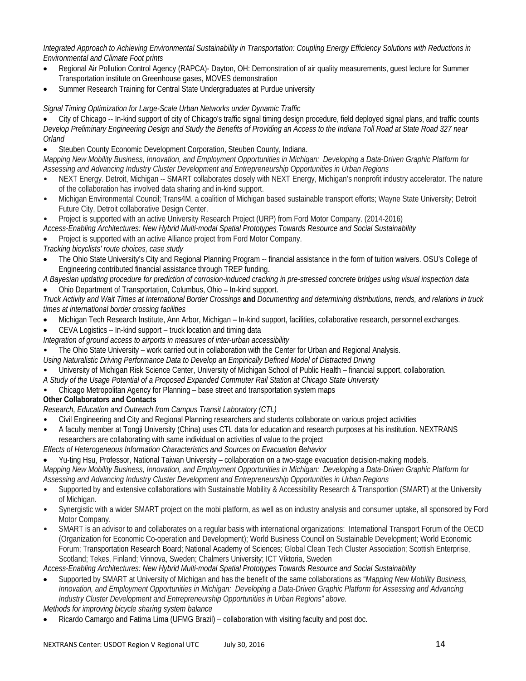*Integrated Approach to Achieving Environmental Sustainability in Transportation: Coupling Energy Efficiency Solutions with Reductions in Environmental and Climate Foot prints*

- Regional Air Pollution Control Agency (RAPCA)- Dayton, OH: Demonstration of air quality measurements, guest lecture for Summer Transportation institute on Greenhouse gases, MOVES demonstration
- Summer Research Training for Central State Undergraduates at Purdue university

*Signal Timing Optimization for Large-Scale Urban Networks under Dynamic Traffic*

• City of Chicago -- In-kind support of city of Chicago's traffic signal timing design procedure, field deployed signal plans, and traffic counts *Develop Preliminary Engineering Design and Study the Benefits of Providing an Access to the Indiana Toll Road at State Road 327 near Orland*

• Steuben County Economic Development Corporation, Steuben County, Indiana.

*Mapping New Mobility Business, Innovation, and Employment Opportunities in Michigan: Developing a Data-Driven Graphic Platform for Assessing and Advancing Industry Cluster Development and Entrepreneurship Opportunities in Urban Regions*

- NEXT Energy. Detroit, Michigan -- SMART collaborates closely with NEXT Energy, Michigan's nonprofit industry accelerator. The nature of the collaboration has involved data sharing and in-kind support.
- Michigan Environmental Council; Trans4M, a coalition of Michigan based sustainable transport efforts; Wayne State University; Detroit Future City, Detroit collaborative Design Center.
- Project is supported with an active University Research Project (URP) from Ford Motor Company. (2014-2016)

*Access-Enabling Architectures: New Hybrid Multi-modal Spatial Prototypes Towards Resource and Social Sustainability* 

• Project is supported with an active Alliance project from Ford Motor Company.

- *Tracking bicyclists' route choices, case study*
- The Ohio State University's City and Regional Planning Program -- financial assistance in the form of tuition waivers. OSU's College of Engineering contributed financial assistance through TREP funding.
- *A Bayesian updating procedure for prediction of corrosion-induced cracking in pre-stressed concrete bridges using visual inspection data*
- Ohio Department of Transportation, Columbus, Ohio In-kind support.

*Truck Activity and Wait Times at International Border Crossings* **and** *Documenting and determining distributions, trends, and relations in truck times at international border crossing facilities*

- Michigan Tech Research Institute, Ann Arbor, Michigan In-kind support, facilities, collaborative research, personnel exchanges.
- CEVA Logistics In-kind support truck location and timing data
- *Integration of ground access to airports in measures of inter-urban accessibility*

• The Ohio State University – work carried out in collaboration with the Center for Urban and Regional Analysis.

- *Using Naturalistic Driving Performance Data to Develop an Empirically Defined Model of Distracted Driving*
- University of Michigan Risk Science Center, University of Michigan School of Public Health financial support, collaboration.
- *A Study of the Usage Potential of a Proposed Expanded Commuter Rail Station at Chicago State University*
- Chicago Metropolitan Agency for Planning base street and transportation system maps

### **Other Collaborators and Contacts**

*Research, Education and Outreach from Campus Transit Laboratory (CTL)*

- Civil Engineering and City and Regional Planning researchers and students collaborate on various project activities
- A faculty member at Tongji University (China) uses CTL data for education and research purposes at his institution. NEXTRANS researchers are collaborating with same individual on activities of value to the project
- *Effects of Heterogeneous Information Characteristics and Sources on Evacuation Behavior*
- Yu-ting Hsu, Professor, National Taiwan University collaboration on a two-stage evacuation decision-making models.

*Mapping New Mobility Business, Innovation, and Employment Opportunities in Michigan: Developing a Data-Driven Graphic Platform for Assessing and Advancing Industry Cluster Development and Entrepreneurship Opportunities in Urban Regions*

- Supported by and extensive collaborations with Sustainable Mobility & Accessibility Research & Transportion (SMART) at the University of Michigan.
- Synergistic with a wider SMART project on the mobi platform, as well as on industry analysis and consumer uptake, all sponsored by Ford Motor Company.
- SMART is an advisor to and collaborates on a regular basis with international organizations: International Transport Forum of the OECD (Organization for Economic Co-operation and Development); World Business Council on Sustainable Development; World Economic Forum; Transportation Research Board; National Academy of Sciences; Global Clean Tech Cluster Association; Scottish Enterprise, Scotland; Tekes, Finland; Vinnova, Sweden; Chalmers University; ICT Viktoria, Sweden

*Access-Enabling Architectures: New Hybrid Multi-modal Spatial Prototypes Towards Resource and Social Sustainability* 

• Supported by SMART at University of Michigan and has the benefit of the same collaborations as "*Mapping New Mobility Business, Innovation, and Employment Opportunities in Michigan: Developing a Data-Driven Graphic Platform for Assessing and Advancing Industry Cluster Development and Entrepreneurship Opportunities in Urban Regions" above.*

*Methods for improving bicycle sharing system balance*

• Ricardo Camargo and Fatima Lima (UFMG Brazil) – collaboration with visiting faculty and post doc.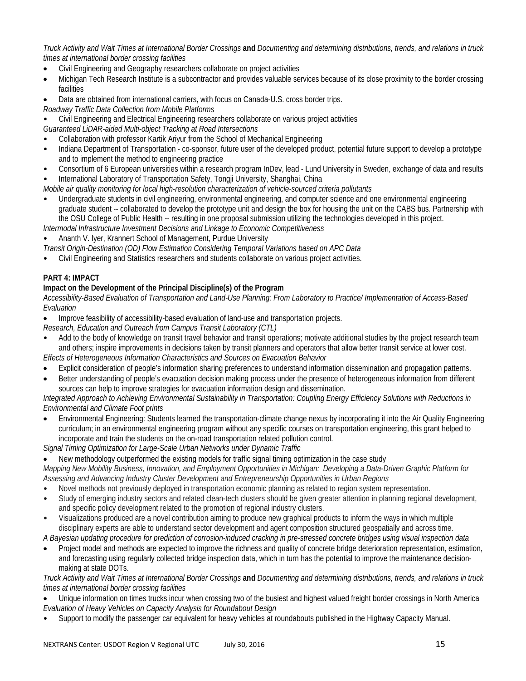*Truck Activity and Wait Times at International Border Crossings* **and** *Documenting and determining distributions, trends, and relations in truck times at international border crossing facilities*

- Civil Engineering and Geography researchers collaborate on project activities
- Michigan Tech Research Institute is a subcontractor and provides valuable services because of its close proximity to the border crossing facilities
- Data are obtained from international carriers, with focus on Canada-U.S. cross border trips.
- *Roadway Traffic Data Collection from Mobile Platforms*
- Civil Engineering and Electrical Engineering researchers collaborate on various project activities

*Guaranteed LiDAR-aided Multi-object Tracking at Road Intersections*

- Collaboration with professor Kartik Ariyur from the School of Mechanical Engineering
- Indiana Department of Transportation co-sponsor, future user of the developed product, potential future support to develop a prototype and to implement the method to engineering practice
- Consortium of 6 European universities within a research program InDev, lead Lund University in Sweden, exchange of data and results
- International Laboratory of Transportation Safety, Tongji University, Shanghai, China

*Mobile air quality monitoring for local high-resolution characterization of vehicle-sourced criteria pollutants*

• Undergraduate students in civil engineering, environmental engineering, and computer science and one environmental engineering graduate student -- collaborated to develop the prototype unit and design the box for housing the unit on the CABS bus. Partnership with the OSU College of Public Health -- resulting in one proposal submission utilizing the technologies developed in this project.

*Intermodal Infrastructure Investment Decisions and Linkage to Economic Competitiveness*

• Ananth V. Iyer, Krannert School of Management, Purdue University

*Transit Origin-Destination (OD) Flow Estimation Considering Temporal Variations based on APC Data*

• Civil Engineering and Statistics researchers and students collaborate on various project activities.

## **PART 4: IMPACT**

## **Impact on the Development of the Principal Discipline(s) of the Program**

*Accessibility-Based Evaluation of Transportation and Land-Use Planning: From Laboratory to Practice/ Implementation of Access-Based Evaluation*

• Improve feasibility of accessibility-based evaluation of land-use and transportation projects.

*Research, Education and Outreach from Campus Transit Laboratory (CTL)*

- Add to the body of knowledge on transit travel behavior and transit operations; motivate additional studies by the project research team and others; inspire improvements in decisions taken by transit planners and operators that allow better transit service at lower cost. *Effects of Heterogeneous Information Characteristics and Sources on Evacuation Behavior*
- Explicit consideration of people's information sharing preferences to understand information dissemination and propagation patterns.
- Better understanding of people's evacuation decision making process under the presence of heterogeneous information from different sources can help to improve strategies for evacuation information design and dissemination.

*Integrated Approach to Achieving Environmental Sustainability in Transportation: Coupling Energy Efficiency Solutions with Reductions in Environmental and Climate Foot prints*

• Environmental Engineering: Students learned the transportation-climate change nexus by incorporating it into the Air Quality Engineering curriculum; in an environmental engineering program without any specific courses on transportation engineering, this grant helped to incorporate and train the students on the on-road transportation related pollution control.

*Signal Timing Optimization for Large-Scale Urban Networks under Dynamic Traffic*

• New methodology outperformed the existing models for traffic signal timing optimization in the case study

*Mapping New Mobility Business, Innovation, and Employment Opportunities in Michigan: Developing a Data-Driven Graphic Platform for Assessing and Advancing Industry Cluster Development and Entrepreneurship Opportunities in Urban Regions*

- Novel methods not previously deployed in transportation economic planning as related to region system representation.
- Study of emerging industry sectors and related clean-tech clusters should be given greater attention in planning regional development, and specific policy development related to the promotion of regional industry clusters.
- Visualizations produced are a novel contribution aiming to produce new graphical products to inform the ways in which multiple disciplinary experts are able to understand sector development and agent composition structured geospatially and across time.

*A Bayesian updating procedure for prediction of corrosion-induced cracking in pre-stressed concrete bridges using visual inspection data*

• Project model and methods are expected to improve the richness and quality of concrete bridge deterioration representation, estimation, and forecasting using regularly collected bridge inspection data, which in turn has the potential to improve the maintenance decisionmaking at state DOTs.

### *Truck Activity and Wait Times at International Border Crossings* **and** *Documenting and determining distributions, trends, and relations in truck times at international border crossing facilities*

• Unique information on times trucks incur when crossing two of the busiest and highest valued freight border crossings in North America *Evaluation of Heavy Vehicles on Capacity Analysis for Roundabout Design*

• Support to modify the passenger car equivalent for heavy vehicles at roundabouts published in the Highway Capacity Manual.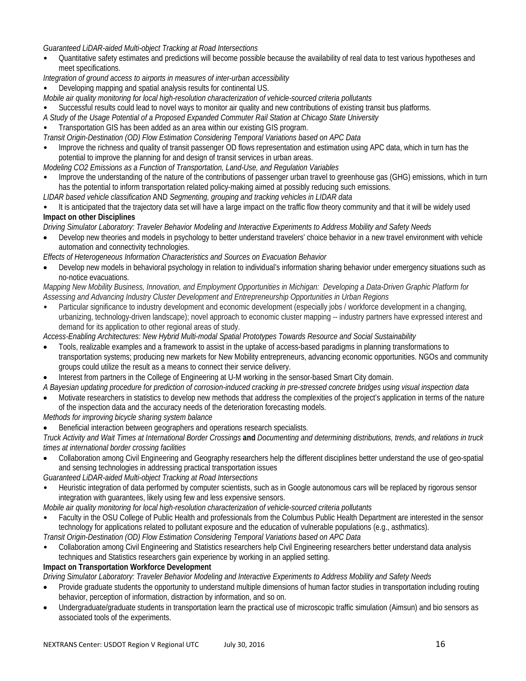*Guaranteed LiDAR-aided Multi-object Tracking at Road Intersections*

• Quantitative safety estimates and predictions will become possible because the availability of real data to test various hypotheses and meet specifications.

*Integration of ground access to airports in measures of inter-urban accessibility*

- Developing mapping and spatial analysis results for continental US.
- *Mobile air quality monitoring for local high-resolution characterization of vehicle-sourced criteria pollutants*
- Successful results could lead to novel ways to monitor air quality and new contributions of existing transit bus platforms.
- *A Study of the Usage Potential of a Proposed Expanded Commuter Rail Station at Chicago State University*
- Transportation GIS has been added as an area within our existing GIS program.
- *Transit Origin-Destination (OD) Flow Estimation Considering Temporal Variations based on APC Data*
- Improve the richness and quality of transit passenger OD flows representation and estimation using APC data, which in turn has the potential to improve the planning for and design of transit services in urban areas.
- *Modeling CO2 Emissions as a Function of Transportation, Land-Use, and Regulation Variables*
- Improve the understanding of the nature of the contributions of passenger urban travel to greenhouse gas (GHG) emissions, which in turn has the potential to inform transportation related policy-making aimed at possibly reducing such emissions.
- *LIDAR based vehicle classification* AND *Segmenting, grouping and tracking vehicles in LIDAR data*
- It is anticipated that the trajectory data set will have a large impact on the traffic flow theory community and that it will be widely used **Impact on other Disciplines**

*Driving Simulator Laboratory: Traveler Behavior Modeling and Interactive Experiments to Address Mobility and Safety Needs*

- Develop new theories and models in psychology to better understand travelers' choice behavior in a new travel environment with vehicle automation and connectivity technologies.
- *Effects of Heterogeneous Information Characteristics and Sources on Evacuation Behavior*
- Develop new models in behavioral psychology in relation to individual's information sharing behavior under emergency situations such as no-notice evacuations.

*Mapping New Mobility Business, Innovation, and Employment Opportunities in Michigan: Developing a Data-Driven Graphic Platform for Assessing and Advancing Industry Cluster Development and Entrepreneurship Opportunities in Urban Regions*

Particular significance to industry development and economic development (especially jobs / workforce development in a changing, urbanizing, technology-driven landscape); novel approach to economic cluster mapping -- industry partners have expressed interest and demand for its application to other regional areas of study.

*Access-Enabling Architectures: New Hybrid Multi-modal Spatial Prototypes Towards Resource and Social Sustainability* 

- Tools, realizable examples and a framework to assist in the uptake of access-based paradigms in planning transformations to transportation systems; producing new markets for New Mobility entrepreneurs, advancing economic opportunities. NGOs and community groups could utilize the result as a means to connect their service delivery.
- Interest from partners in the College of Engineering at U-M working in the sensor-based Smart City domain.

*A Bayesian updating procedure for prediction of corrosion-induced cracking in pre-stressed concrete bridges using visual inspection data*

• Motivate researchers in statistics to develop new methods that address the complexities of the project's application in terms of the nature of the inspection data and the accuracy needs of the deterioration forecasting models.

*Methods for improving bicycle sharing system balance*

• Beneficial interaction between geographers and operations research specialists.

*Truck Activity and Wait Times at International Border Crossings* **and** *Documenting and determining distributions, trends, and relations in truck times at international border crossing facilities*

- Collaboration among Civil Engineering and Geography researchers help the different disciplines better understand the use of geo-spatial and sensing technologies in addressing practical transportation issues
- *Guaranteed LiDAR-aided Multi-object Tracking at Road Intersections*
- Heuristic integration of data performed by computer scientists, such as in Google autonomous cars will be replaced by rigorous sensor integration with guarantees, likely using few and less expensive sensors.

*Mobile air quality monitoring for local high-resolution characterization of vehicle-sourced criteria pollutants*

• Faculty in the OSU College of Public Health and professionals from the Columbus Public Health Department are interested in the sensor technology for applications related to pollutant exposure and the education of vulnerable populations (e.g., asthmatics).

*Transit Origin-Destination (OD) Flow Estimation Considering Temporal Variations based on APC Data*

• Collaboration among Civil Engineering and Statistics researchers help Civil Engineering researchers better understand data analysis techniques and Statistics researchers gain experience by working in an applied setting.

## **Impact on Transportation Workforce Development**

*Driving Simulator Laboratory: Traveler Behavior Modeling and Interactive Experiments to Address Mobility and Safety Needs*

- Provide graduate students the opportunity to understand multiple dimensions of human factor studies in transportation including routing behavior, perception of information, distraction by information, and so on.
- Undergraduate/graduate students in transportation learn the practical use of microscopic traffic simulation (Aimsun) and bio sensors as associated tools of the experiments.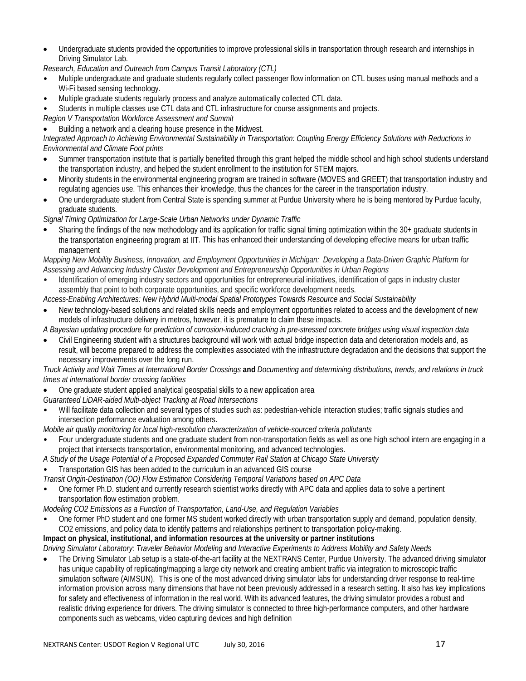• Undergraduate students provided the opportunities to improve professional skills in transportation through research and internships in Driving Simulator Lab.

*Research, Education and Outreach from Campus Transit Laboratory (CTL)*

- Multiple undergraduate and graduate students regularly collect passenger flow information on CTL buses using manual methods and a Wi-Fi based sensing technology.
- Multiple graduate students regularly process and analyze automatically collected CTL data.
- Students in multiple classes use CTL data and CTL infrastructure for course assignments and projects.

*Region V Transportation Workforce Assessment and Summit*

• Building a network and a clearing house presence in the Midwest.

*Integrated Approach to Achieving Environmental Sustainability in Transportation: Coupling Energy Efficiency Solutions with Reductions in Environmental and Climate Foot prints*

- Summer transportation institute that is partially benefited through this grant helped the middle school and high school students understand the transportation industry, and helped the student enrollment to the institution for STEM majors.
- Minority students in the environmental engineering program are trained in software (MOVES and GREET) that transportation industry and regulating agencies use. This enhances their knowledge, thus the chances for the career in the transportation industry.
- One undergraduate student from Central State is spending summer at Purdue University where he is being mentored by Purdue faculty, graduate students.

*Signal Timing Optimization for Large-Scale Urban Networks under Dynamic Traffic*

• Sharing the findings of the new methodology and its application for traffic signal timing optimization within the 30+ graduate students in the transportation engineering program at IIT. This has enhanced their understanding of developing effective means for urban traffic management

*Mapping New Mobility Business, Innovation, and Employment Opportunities in Michigan: Developing a Data-Driven Graphic Platform for Assessing and Advancing Industry Cluster Development and Entrepreneurship Opportunities in Urban Regions*

• Identification of emerging industry sectors and opportunities for entrepreneurial initiatives, identification of gaps in industry cluster assembly that point to both corporate opportunities, and specific workforce development needs.

*Access-Enabling Architectures: New Hybrid Multi-modal Spatial Prototypes Towards Resource and Social Sustainability* 

• New technology-based solutions and related skills needs and employment opportunities related to access and the development of new models of infrastructure delivery in metros, however, it is premature to claim these impacts.

*A Bayesian updating procedure for prediction of corrosion-induced cracking in pre-stressed concrete bridges using visual inspection data*

• Civil Engineering student with a structures background will work with actual bridge inspection data and deterioration models and, as result, will become prepared to address the complexities associated with the infrastructure degradation and the decisions that support the necessary improvements over the long run.

*Truck Activity and Wait Times at International Border Crossings* **and** *Documenting and determining distributions, trends, and relations in truck times at international border crossing facilities*

- One graduate student applied analytical geospatial skills to a new application area
- *Guaranteed LiDAR-aided Multi-object Tracking at Road Intersections*
- Will facilitate data collection and several types of studies such as: pedestrian-vehicle interaction studies; traffic signals studies and intersection performance evaluation among others.

*Mobile air quality monitoring for local high-resolution characterization of vehicle-sourced criteria pollutants*

• Four undergraduate students and one graduate student from non-transportation fields as well as one high school intern are engaging in a project that intersects transportation, environmental monitoring, and advanced technologies.

*A Study of the Usage Potential of a Proposed Expanded Commuter Rail Station at Chicago State University*

- Transportation GIS has been added to the curriculum in an advanced GIS course
- *Transit Origin-Destination (OD) Flow Estimation Considering Temporal Variations based on APC Data*

• One former Ph.D. student and currently research scientist works directly with APC data and applies data to solve a pertinent transportation flow estimation problem.

- *Modeling CO2 Emissions as a Function of Transportation, Land-Use, and Regulation Variables*
- One former PhD student and one former MS student worked directly with urban transportation supply and demand, population density, CO2 emissions, and policy data to identify patterns and relationships pertinent to transportation policy-making.

## **Impact on physical, institutional, and information resources at the university or partner institutions**

*Driving Simulator Laboratory: Traveler Behavior Modeling and Interactive Experiments to Address Mobility and Safety Needs*

• The Driving Simulator Lab setup is a state-of-the-art facility at the NEXTRANS Center, Purdue University. The advanced driving simulator has unique capability of replicating/mapping a large city network and creating ambient traffic via integration to microscopic traffic simulation software (AIMSUN). This is one of the most advanced driving simulator labs for understanding driver response to real-time information provision across many dimensions that have not been previously addressed in a research setting. It also has key implications for safety and effectiveness of information in the real world. With its advanced features, the driving simulator provides a robust and realistic driving experience for drivers. The driving simulator is connected to three high-performance computers, and other hardware components such as webcams, video capturing devices and high definition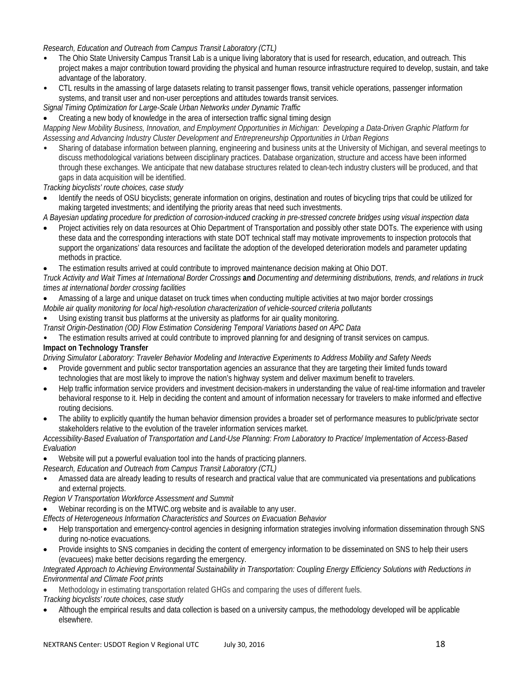*Research, Education and Outreach from Campus Transit Laboratory (CTL)*

- The Ohio State University Campus Transit Lab is a unique living laboratory that is used for research, education, and outreach. This project makes a major contribution toward providing the physical and human resource infrastructure required to develop, sustain, and take advantage of the laboratory.
- CTL results in the amassing of large datasets relating to transit passenger flows, transit vehicle operations, passenger information systems, and transit user and non-user perceptions and attitudes towards transit services.

*Signal Timing Optimization for Large-Scale Urban Networks under Dynamic Traffic*

Creating a new body of knowledge in the area of intersection traffic signal timing design

*Mapping New Mobility Business, Innovation, and Employment Opportunities in Michigan: Developing a Data-Driven Graphic Platform for Assessing and Advancing Industry Cluster Development and Entrepreneurship Opportunities in Urban Regions*

• Sharing of database information between planning, engineering and business units at the University of Michigan, and several meetings to discuss methodological variations between disciplinary practices. Database organization, structure and access have been informed through these exchanges. We anticipate that new database structures related to clean-tech industry clusters will be produced, and that gaps in data acquisition will be identified.

*Tracking bicyclists' route choices, case study* 

• Identify the needs of OSU bicyclists; generate information on origins, destination and routes of bicycling trips that could be utilized for making targeted investments; and identifying the priority areas that need such investments.

*A Bayesian updating procedure for prediction of corrosion-induced cracking in pre-stressed concrete bridges using visual inspection data*

- Project activities rely on data resources at Ohio Department of Transportation and possibly other state DOTs. The experience with using these data and the corresponding interactions with state DOT technical staff may motivate improvements to inspection protocols that support the organizations' data resources and facilitate the adoption of the developed deterioration models and parameter updating methods in practice.
- The estimation results arrived at could contribute to improved maintenance decision making at Ohio DOT.

*Truck Activity and Wait Times at International Border Crossings* **and** *Documenting and determining distributions, trends, and relations in truck times at international border crossing facilities*

• Amassing of a large and unique dataset on truck times when conducting multiple activities at two major border crossings

- *Mobile air quality monitoring for local high-resolution characterization of vehicle-sourced criteria pollutants*
- Using existing transit bus platforms at the university as platforms for air quality monitoring.

*Transit Origin-Destination (OD) Flow Estimation Considering Temporal Variations based on APC Data*

• The estimation results arrived at could contribute to improved planning for and designing of transit services on campus.

# **Impact on Technology Transfer**

*Driving Simulator Laboratory: Traveler Behavior Modeling and Interactive Experiments to Address Mobility and Safety Needs*

- Provide government and public sector transportation agencies an assurance that they are targeting their limited funds toward technologies that are most likely to improve the nation's highway system and deliver maximum benefit to travelers.
- Help traffic information service providers and investment decision-makers in understanding the value of real-time information and traveler behavioral response to it. Help in deciding the content and amount of information necessary for travelers to make informed and effective routing decisions.
- The ability to explicitly quantify the human behavior dimension provides a broader set of performance measures to public/private sector stakeholders relative to the evolution of the traveler information services market.

*Accessibility-Based Evaluation of Transportation and Land-Use Planning: From Laboratory to Practice/ Implementation of Access-Based Evaluation*

• Website will put a powerful evaluation tool into the hands of practicing planners.

*Research, Education and Outreach from Campus Transit Laboratory (CTL)*

• Amassed data are already leading to results of research and practical value that are communicated via presentations and publications and external projects.

*Region V Transportation Workforce Assessment and Summit*

• Webinar recording is on the MTWC.org website and is available to any user.

*Effects of Heterogeneous Information Characteristics and Sources on Evacuation Behavior*

- Help transportation and emergency-control agencies in designing information strategies involving information dissemination through SNS during no-notice evacuations.
- Provide insights to SNS companies in deciding the content of emergency information to be disseminated on SNS to help their users (evacuees) make better decisions regarding the emergency.

*Integrated Approach to Achieving Environmental Sustainability in Transportation: Coupling Energy Efficiency Solutions with Reductions in Environmental and Climate Foot prints*

• Methodology in estimating transportation related GHGs and comparing the uses of different fuels.

*Tracking bicyclists' route choices, case study* 

• Although the empirical results and data collection is based on a university campus, the methodology developed will be applicable elsewhere.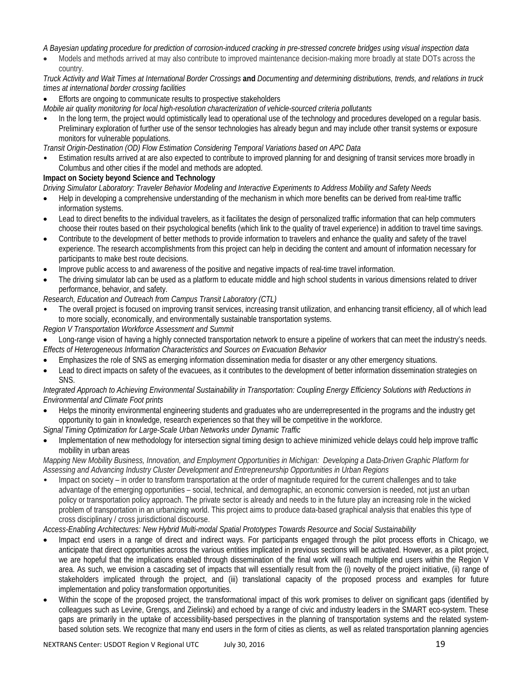*A Bayesian updating procedure for prediction of corrosion-induced cracking in pre-stressed concrete bridges using visual inspection data*

• Models and methods arrived at may also contribute to improved maintenance decision-making more broadly at state DOTs across the country.

*Truck Activity and Wait Times at International Border Crossings* **and** *Documenting and determining distributions, trends, and relations in truck times at international border crossing facilities*

## • Efforts are ongoing to communicate results to prospective stakeholders

- *Mobile air quality monitoring for local high-resolution characterization of vehicle-sourced criteria pollutants*
- In the long term, the project would optimistically lead to operational use of the technology and procedures developed on a regular basis. Preliminary exploration of further use of the sensor technologies has already begun and may include other transit systems or exposure monitors for vulnerable populations.

### *Transit Origin-Destination (OD) Flow Estimation Considering Temporal Variations based on APC Data*

• Estimation results arrived at are also expected to contribute to improved planning for and designing of transit services more broadly in Columbus and other cities if the model and methods are adopted.

### **Impact on Society beyond Science and Technology**

*Driving Simulator Laboratory: Traveler Behavior Modeling and Interactive Experiments to Address Mobility and Safety Needs*

- Help in developing a comprehensive understanding of the mechanism in which more benefits can be derived from real-time traffic information systems.
- Lead to direct benefits to the individual travelers, as it facilitates the design of personalized traffic information that can help commuters choose their routes based on their psychological benefits (which link to the quality of travel experience) in addition to travel time savings.
- Contribute to the development of better methods to provide information to travelers and enhance the quality and safety of the travel experience. The research accomplishments from this project can help in deciding the content and amount of information necessary for participants to make best route decisions.
- Improve public access to and awareness of the positive and negative impacts of real-time travel information.
- The driving simulator lab can be used as a platform to educate middle and high school students in various dimensions related to driver performance, behavior, and safety.

### *Research, Education and Outreach from Campus Transit Laboratory (CTL)*

• The overall project is focused on improving transit services, increasing transit utilization, and enhancing transit efficiency, all of which lead to more socially, economically, and environmentally sustainable transportation systems.

### *Region V Transportation Workforce Assessment and Summit*

• Long-range vision of having a highly connected transportation network to ensure a pipeline of workers that can meet the industry's needs. *Effects of Heterogeneous Information Characteristics and Sources on Evacuation Behavior*

- Emphasizes the role of SNS as emerging information dissemination media for disaster or any other emergency situations.
- Lead to direct impacts on safety of the evacuees, as it contributes to the development of better information dissemination strategies on SNS.

### *Integrated Approach to Achieving Environmental Sustainability in Transportation: Coupling Energy Efficiency Solutions with Reductions in Environmental and Climate Foot prints*

• Helps the minority environmental engineering students and graduates who are underrepresented in the programs and the industry get opportunity to gain in knowledge, research experiences so that they will be competitive in the workforce.

# *Signal Timing Optimization for Large-Scale Urban Networks under Dynamic Traffic*

• Implementation of new methodology for intersection signal timing design to achieve minimized vehicle delays could help improve traffic mobility in urban areas

*Mapping New Mobility Business, Innovation, and Employment Opportunities in Michigan: Developing a Data-Driven Graphic Platform for Assessing and Advancing Industry Cluster Development and Entrepreneurship Opportunities in Urban Regions*

• Impact on society – in order to transform transportation at the order of magnitude required for the current challenges and to take advantage of the emerging opportunities – social, technical, and demographic, an economic conversion is needed, not just an urban policy or transportation policy approach. The private sector is already and needs to in the future play an increasing role in the wicked problem of transportation in an urbanizing world. This project aims to produce data-based graphical analysis that enables this type of cross disciplinary / cross jurisdictional discourse.

### *Access-Enabling Architectures: New Hybrid Multi-modal Spatial Prototypes Towards Resource and Social Sustainability*

- Impact end users in a range of direct and indirect ways. For participants engaged through the pilot process efforts in Chicago, we anticipate that direct opportunities across the various entities implicated in previous sections will be activated. However, as a pilot project, we are hopeful that the implications enabled through dissemination of the final work will reach multiple end users within the Region V area. As such, we envision a cascading set of impacts that will essentially result from the (i) novelty of the project initiative, (ii) range of stakeholders implicated through the project, and (iii) translational capacity of the proposed process and examples for future implementation and policy transformation opportunities.
- Within the scope of the proposed project, the transformational impact of this work promises to deliver on significant gaps (identified by colleagues such as Levine, Grengs, and Zielinski) and echoed by a range of civic and industry leaders in the SMART eco-system. These gaps are primarily in the uptake of accessibility-based perspectives in the planning of transportation systems and the related systembased solution sets. We recognize that many end users in the form of cities as clients, as well as related transportation planning agencies